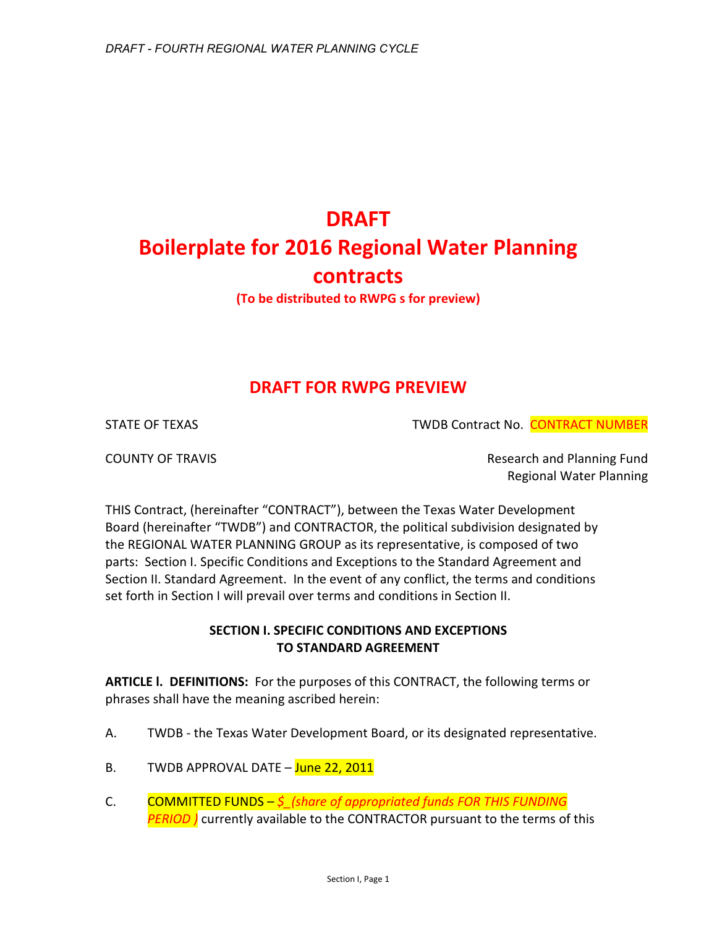# **DRAFT Boilerplate for 2016 Regional Water Planning contracts (To be distributed to RWPG s for preview)**

# **DRAFT FOR RWPG PREVIEW**

STATE OF TEXAS TWDB Contract No. CONTRACT NUMBER

COUNTY OF TRAVIS **Research and Planning Fund** Regional Water Planning

THIS Contract, (hereinafter "CONTRACT"), between the Texas Water Development Board (hereinafter "TWDB") and CONTRACTOR, the political subdivision designated by the REGIONAL WATER PLANNING GROUP as its representative, is composed of two parts: Section I. Specific Conditions and Exceptions to the Standard Agreement and Section II. Standard Agreement. In the event of any conflict, the terms and conditions set forth in Section I will prevail over terms and conditions in Section II.

# **SECTION I. SPECIFIC CONDITIONS AND EXCEPTIONS TO STANDARD AGREEMENT**

**ARTICLE l. DEFINITIONS:** For the purposes of this CONTRACT, the following terms or phrases shall have the meaning ascribed herein:

- A. TWDB the Texas Water Development Board, or its designated representative.
- B. TWDB APPROVAL DATE June 22, 2011
- C. COMMITTED FUNDS *\$\_(share of appropriated funds FOR THIS FUNDING*  **PERIOD** ) currently available to the CONTRACTOR pursuant to the terms of this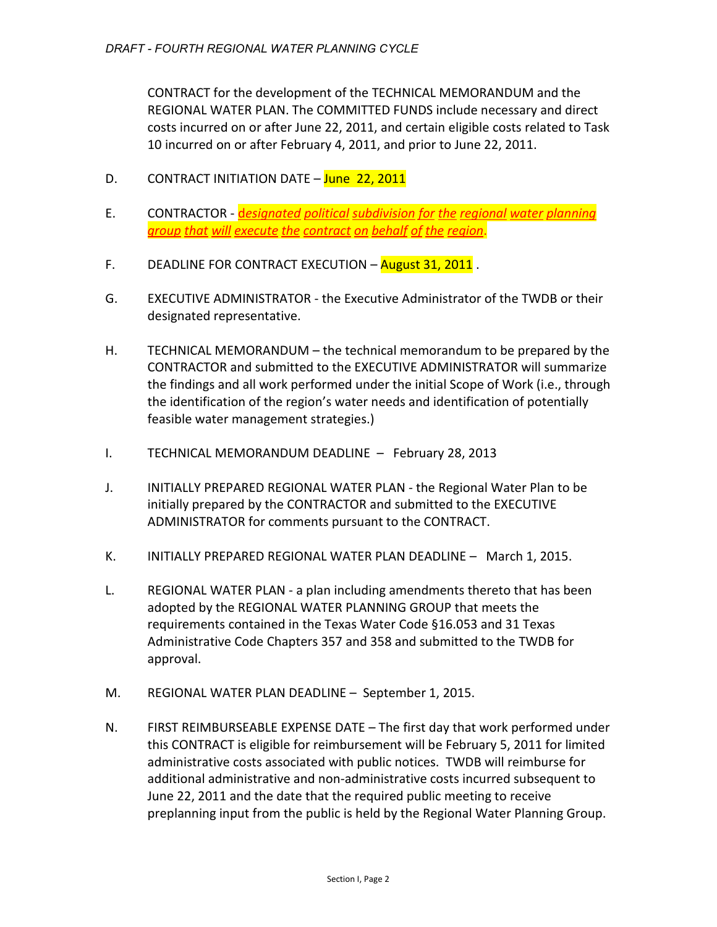CONTRACT for the development of the TECHNICAL MEMORANDUM and the REGIONAL WATER PLAN. The COMMITTED FUNDS include necessary and direct costs incurred on or after June 22, 2011, and certain eligible costs related to Task 10 incurred on or after February 4, 2011, and prior to June 22, 2011.

- D. CONTRACT INITIATION DATE June 22, 2011
- E. CONTRACTOR d*esignated political subdivision for the regional water planning group that will execute the contract on behalf of the region*.
- F. DEADLINE FOR CONTRACT EXECUTION August 31, 2011.
- G. EXECUTIVE ADMINISTRATOR the Executive Administrator of the TWDB or their designated representative.
- H. TECHNICAL MEMORANDUM the technical memorandum to be prepared by the CONTRACTOR and submitted to the EXECUTIVE ADMINISTRATOR will summarize the findings and all work performed under the initial Scope of Work (i.e., through the identification of the region's water needs and identification of potentially feasible water management strategies.)
- I. TECHNICAL MEMORANDUM DEADLINE February 28, 2013
- J. INITIALLY PREPARED REGIONAL WATER PLAN the Regional Water Plan to be initially prepared by the CONTRACTOR and submitted to the EXECUTIVE ADMINISTRATOR for comments pursuant to the CONTRACT.
- K. INITIALLY PREPARED REGIONAL WATER PLAN DEADLINE March 1, 2015.
- L. REGIONAL WATER PLAN a plan including amendments thereto that has been adopted by the REGIONAL WATER PLANNING GROUP that meets the requirements contained in the Texas Water Code §16.053 and 31 Texas Administrative Code Chapters 357 and 358 and submitted to the TWDB for approval.
- M. REGIONAL WATER PLAN DEADLINE September 1, 2015.
- N. FIRST REIMBURSEABLE EXPENSE DATE The first day that work performed under this CONTRACT is eligible for reimbursement will be February 5, 2011 for limited administrative costs associated with public notices. TWDB will reimburse for additional administrative and non-administrative costs incurred subsequent to June 22, 2011 and the date that the required public meeting to receive preplanning input from the public is held by the Regional Water Planning Group.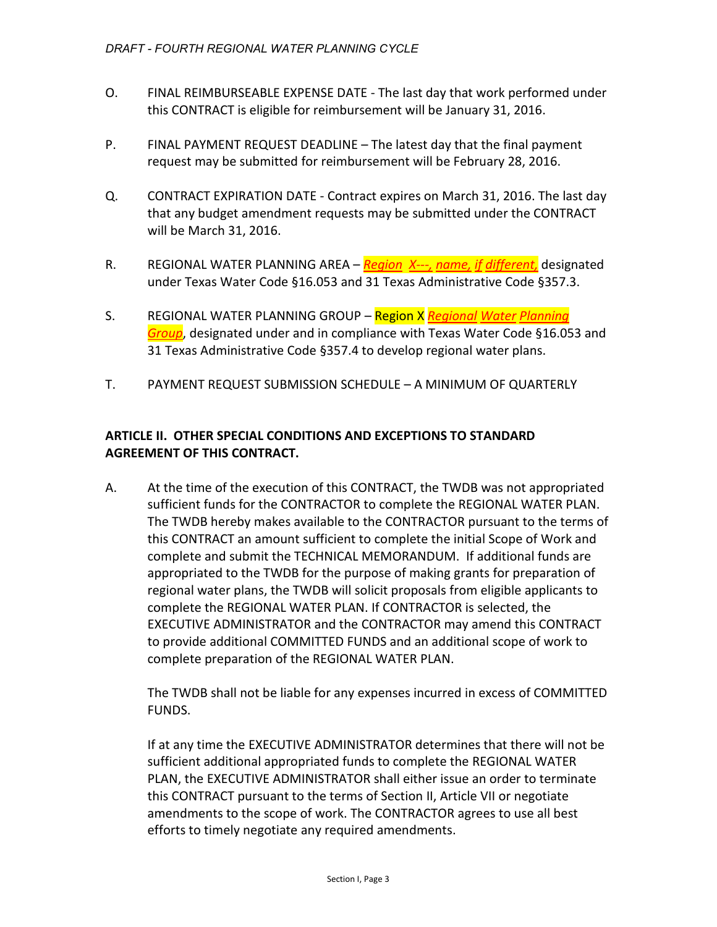- O. FINAL REIMBURSEABLE EXPENSE DATE The last day that work performed under this CONTRACT is eligible for reimbursement will be January 31, 2016.
- P. FINAL PAYMENT REQUEST DEADLINE The latest day that the final payment request may be submitted for reimbursement will be February 28, 2016.
- Q. CONTRACT EXPIRATION DATE Contract expires on March 31, 2016. The last day that any budget amendment requests may be submitted under the CONTRACT will be March 31, 2016.
- R. REGIONAL WATER PLANNING AREA *Region X---, name, if different,* designated under Texas Water Code §16.053 and 31 Texas Administrative Code §357.3.
- S. REGIONAL WATER PLANNING GROUP Region X *Regional Water Planning Group*, designated under and in compliance with Texas Water Code §16.053 and 31 Texas Administrative Code §357.4 to develop regional water plans.
- T. PAYMENT REQUEST SUBMISSION SCHEDULE A MINIMUM OF QUARTERLY

## **ARTICLE II. OTHER SPECIAL CONDITIONS AND EXCEPTIONS TO STANDARD AGREEMENT OF THIS CONTRACT.**

A. At the time of the execution of this CONTRACT, the TWDB was not appropriated sufficient funds for the CONTRACTOR to complete the REGIONAL WATER PLAN. The TWDB hereby makes available to the CONTRACTOR pursuant to the terms of this CONTRACT an amount sufficient to complete the initial Scope of Work and complete and submit the TECHNICAL MEMORANDUM. If additional funds are appropriated to the TWDB for the purpose of making grants for preparation of regional water plans, the TWDB will solicit proposals from eligible applicants to complete the REGIONAL WATER PLAN. If CONTRACTOR is selected, the EXECUTIVE ADMINISTRATOR and the CONTRACTOR may amend this CONTRACT to provide additional COMMITTED FUNDS and an additional scope of work to complete preparation of the REGIONAL WATER PLAN.

The TWDB shall not be liable for any expenses incurred in excess of COMMITTED FUNDS.

If at any time the EXECUTIVE ADMINISTRATOR determines that there will not be sufficient additional appropriated funds to complete the REGIONAL WATER PLAN, the EXECUTIVE ADMINISTRATOR shall either issue an order to terminate this CONTRACT pursuant to the terms of Section II, Article VII or negotiate amendments to the scope of work. The CONTRACTOR agrees to use all best efforts to timely negotiate any required amendments.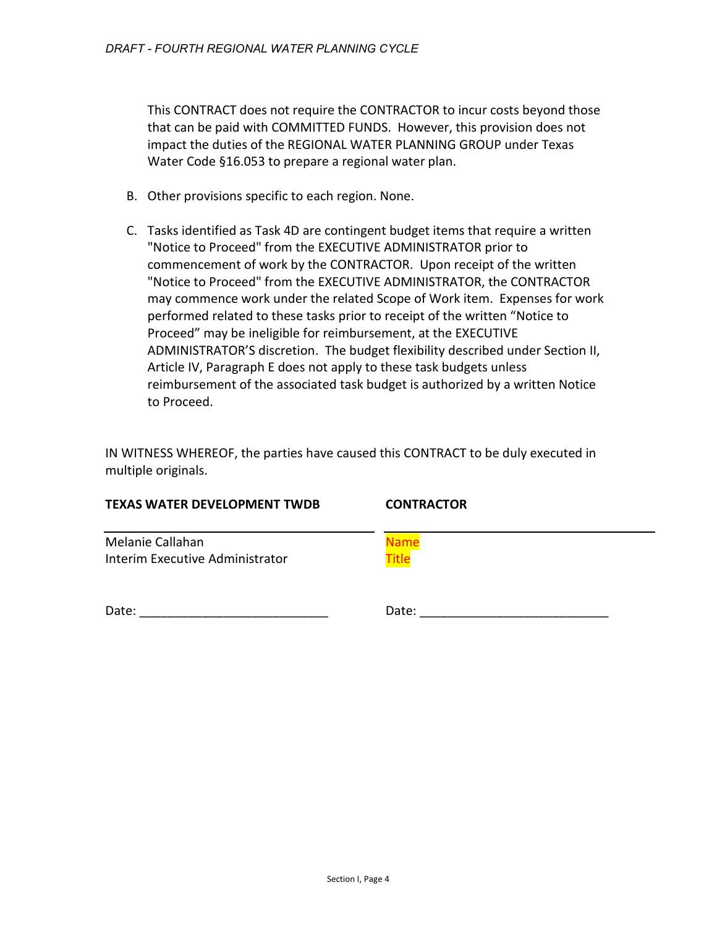This CONTRACT does not require the CONTRACTOR to incur costs beyond those that can be paid with COMMITTED FUNDS. However, this provision does not impact the duties of the REGIONAL WATER PLANNING GROUP under Texas Water Code §16.053 to prepare a regional water plan.

- B. Other provisions specific to each region. None.
- C. Tasks identified as Task 4D are contingent budget items that require a written "Notice to Proceed" from the EXECUTIVE ADMINISTRATOR prior to commencement of work by the CONTRACTOR. Upon receipt of the written "Notice to Proceed" from the EXECUTIVE ADMINISTRATOR, the CONTRACTOR may commence work under the related Scope of Work item. Expenses for work performed related to these tasks prior to receipt of the written "Notice to Proceed" may be ineligible for reimbursement, at the EXECUTIVE ADMINISTRATOR'S discretion. The budget flexibility described under Section II, Article IV, Paragraph E does not apply to these task budgets unless reimbursement of the associated task budget is authorized by a written Notice to Proceed.

IN WITNESS WHEREOF, the parties have caused this CONTRACT to be duly executed in multiple originals.

| <b>TEXAS WATER DEVELOPMENT TWDB</b><br><b>CONTRACTOR</b> |  |
|----------------------------------------------------------|--|
| Melanie Callahan<br>Name                                 |  |
| <b>Title</b><br>Interim Executive Administrator          |  |
|                                                          |  |
| Date:<br>Date:                                           |  |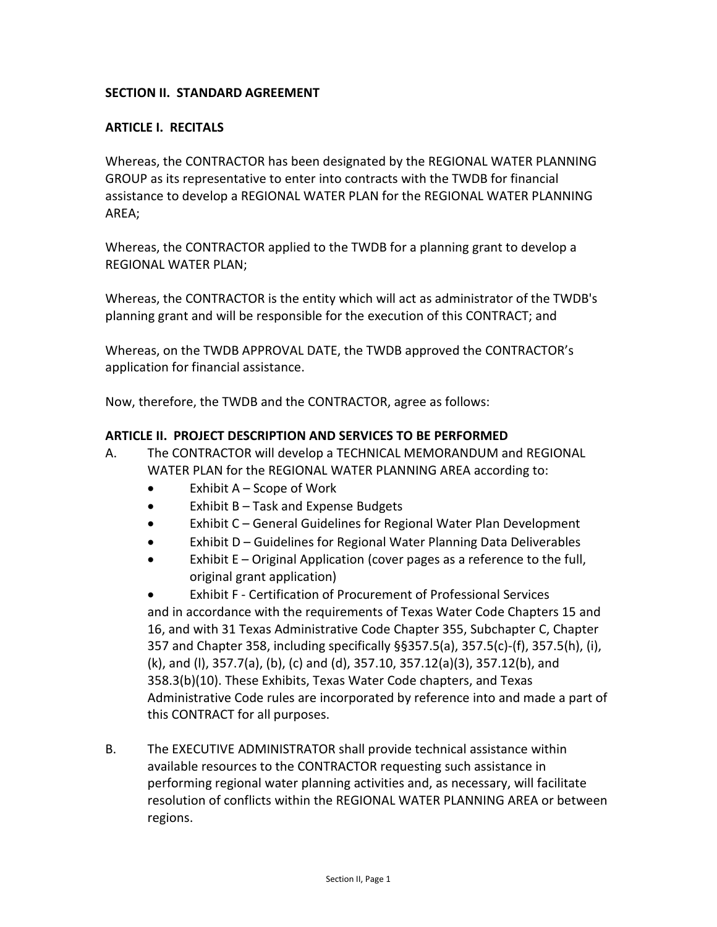### **SECTION II. STANDARD AGREEMENT**

#### **ARTICLE I. RECITALS**

Whereas, the CONTRACTOR has been designated by the REGIONAL WATER PLANNING GROUP as its representative to enter into contracts with the TWDB for financial assistance to develop a REGIONAL WATER PLAN for the REGIONAL WATER PLANNING AREA;

Whereas, the CONTRACTOR applied to the TWDB for a planning grant to develop a REGIONAL WATER PLAN;

Whereas, the CONTRACTOR is the entity which will act as administrator of the TWDB's planning grant and will be responsible for the execution of this CONTRACT; and

Whereas, on the TWDB APPROVAL DATE, the TWDB approved the CONTRACTOR's application for financial assistance.

Now, therefore, the TWDB and the CONTRACTOR, agree as follows:

#### **ARTICLE II. PROJECT DESCRIPTION AND SERVICES TO BE PERFORMED**

- A. The CONTRACTOR will develop a TECHNICAL MEMORANDUM and REGIONAL WATER PLAN for the REGIONAL WATER PLANNING AREA according to:
	- Exhibit A Scope of Work
	- Exhibit B Task and Expense Budgets
	- Exhibit C General Guidelines for Regional Water Plan Development
	- Exhibit D Guidelines for Regional Water Planning Data Deliverables
	- Exhibit E Original Application (cover pages as a reference to the full, original grant application)

• Exhibit F - Certification of Procurement of Professional Services and in accordance with the requirements of Texas Water Code Chapters 15 and 16, and with 31 Texas Administrative Code Chapter 355, Subchapter C, Chapter 357 and Chapter 358, including specifically §§357.5(a), 357.5(c)-(f), 357.5(h), (i), (k), and (l), 357.7(a), (b), (c) and (d), 357.10, 357.12(a)(3), 357.12(b), and 358.3(b)(10). These Exhibits, Texas Water Code chapters, and Texas Administrative Code rules are incorporated by reference into and made a part of this CONTRACT for all purposes.

B. The EXECUTIVE ADMINISTRATOR shall provide technical assistance within available resources to the CONTRACTOR requesting such assistance in performing regional water planning activities and, as necessary, will facilitate resolution of conflicts within the REGIONAL WATER PLANNING AREA or between regions.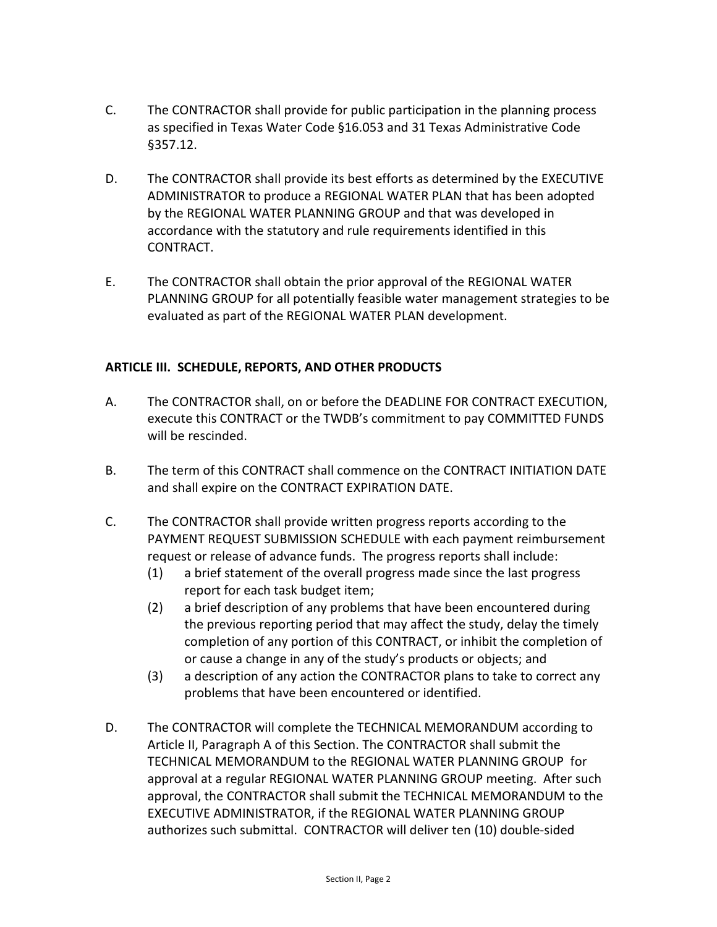- C. The CONTRACTOR shall provide for public participation in the planning process as specified in Texas Water Code §16.053 and 31 Texas Administrative Code §357.12.
- D. The CONTRACTOR shall provide its best efforts as determined by the EXECUTIVE ADMINISTRATOR to produce a REGIONAL WATER PLAN that has been adopted by the REGIONAL WATER PLANNING GROUP and that was developed in accordance with the statutory and rule requirements identified in this CONTRACT.
- E. The CONTRACTOR shall obtain the prior approval of the REGIONAL WATER PLANNING GROUP for all potentially feasible water management strategies to be evaluated as part of the REGIONAL WATER PLAN development.

# **ARTICLE III. SCHEDULE, REPORTS, AND OTHER PRODUCTS**

- A. The CONTRACTOR shall, on or before the DEADLINE FOR CONTRACT EXECUTION, execute this CONTRACT or the TWDB's commitment to pay COMMITTED FUNDS will be rescinded.
- B. The term of this CONTRACT shall commence on the CONTRACT INITIATION DATE and shall expire on the CONTRACT EXPIRATION DATE.
- C. The CONTRACTOR shall provide written progress reports according to the PAYMENT REQUEST SUBMISSION SCHEDULE with each payment reimbursement request or release of advance funds. The progress reports shall include:
	- (1) a brief statement of the overall progress made since the last progress report for each task budget item;
	- (2) a brief description of any problems that have been encountered during the previous reporting period that may affect the study, delay the timely completion of any portion of this CONTRACT, or inhibit the completion of or cause a change in any of the study's products or objects; and
	- (3) a description of any action the CONTRACTOR plans to take to correct any problems that have been encountered or identified.
- D. The CONTRACTOR will complete the TECHNICAL MEMORANDUM according to Article II, Paragraph A of this Section. The CONTRACTOR shall submit the TECHNICAL MEMORANDUM to the REGIONAL WATER PLANNING GROUP for approval at a regular REGIONAL WATER PLANNING GROUP meeting. After such approval, the CONTRACTOR shall submit the TECHNICAL MEMORANDUM to the EXECUTIVE ADMINISTRATOR, if the REGIONAL WATER PLANNING GROUP authorizes such submittal. CONTRACTOR will deliver ten (10) double-sided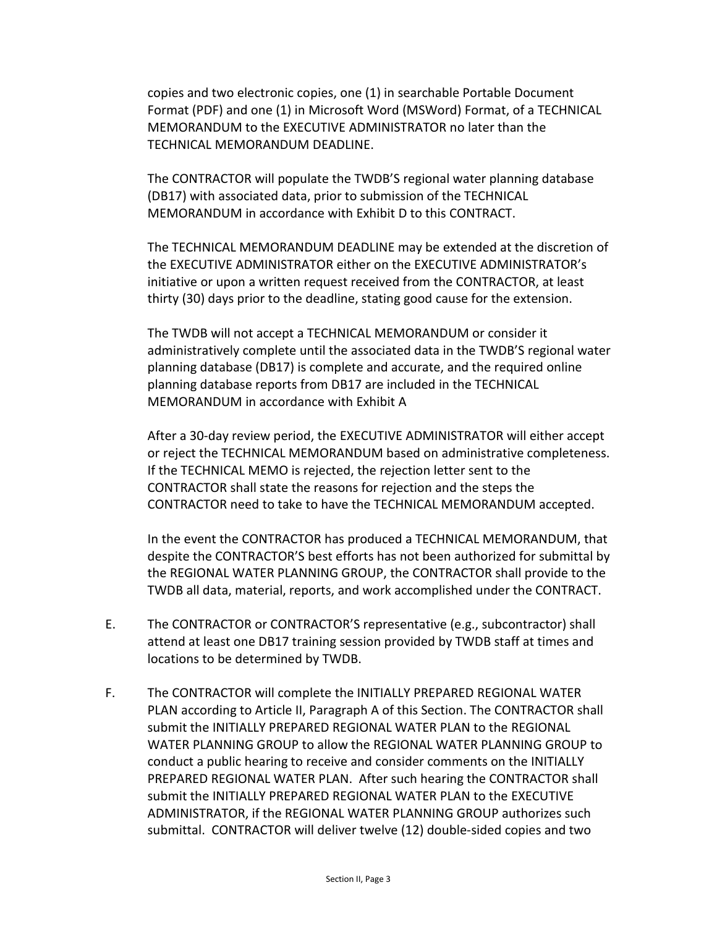copies and two electronic copies, one (1) in searchable Portable Document Format (PDF) and one (1) in Microsoft Word (MSWord) Format, of a TECHNICAL MEMORANDUM to the EXECUTIVE ADMINISTRATOR no later than the TECHNICAL MEMORANDUM DEADLINE.

The CONTRACTOR will populate the TWDB'S regional water planning database (DB17) with associated data, prior to submission of the TECHNICAL MEMORANDUM in accordance with Exhibit D to this CONTRACT.

The TECHNICAL MEMORANDUM DEADLINE may be extended at the discretion of the EXECUTIVE ADMINISTRATOR either on the EXECUTIVE ADMINISTRATOR's initiative or upon a written request received from the CONTRACTOR, at least thirty (30) days prior to the deadline, stating good cause for the extension.

The TWDB will not accept a TECHNICAL MEMORANDUM or consider it administratively complete until the associated data in the TWDB'S regional water planning database (DB17) is complete and accurate, and the required online planning database reports from DB17 are included in the TECHNICAL MEMORANDUM in accordance with Exhibit A

After a 30-day review period, the EXECUTIVE ADMINISTRATOR will either accept or reject the TECHNICAL MEMORANDUM based on administrative completeness. If the TECHNICAL MEMO is rejected, the rejection letter sent to the CONTRACTOR shall state the reasons for rejection and the steps the CONTRACTOR need to take to have the TECHNICAL MEMORANDUM accepted.

In the event the CONTRACTOR has produced a TECHNICAL MEMORANDUM, that despite the CONTRACTOR'S best efforts has not been authorized for submittal by the REGIONAL WATER PLANNING GROUP, the CONTRACTOR shall provide to the TWDB all data, material, reports, and work accomplished under the CONTRACT.

- E. The CONTRACTOR or CONTRACTOR'S representative (e.g., subcontractor) shall attend at least one DB17 training session provided by TWDB staff at times and locations to be determined by TWDB.
- F. The CONTRACTOR will complete the INITIALLY PREPARED REGIONAL WATER PLAN according to Article II, Paragraph A of this Section. The CONTRACTOR shall submit the INITIALLY PREPARED REGIONAL WATER PLAN to the REGIONAL WATER PLANNING GROUP to allow the REGIONAL WATER PLANNING GROUP to conduct a public hearing to receive and consider comments on the INITIALLY PREPARED REGIONAL WATER PLAN. After such hearing the CONTRACTOR shall submit the INITIALLY PREPARED REGIONAL WATER PLAN to the EXECUTIVE ADMINISTRATOR, if the REGIONAL WATER PLANNING GROUP authorizes such submittal. CONTRACTOR will deliver twelve (12) double-sided copies and two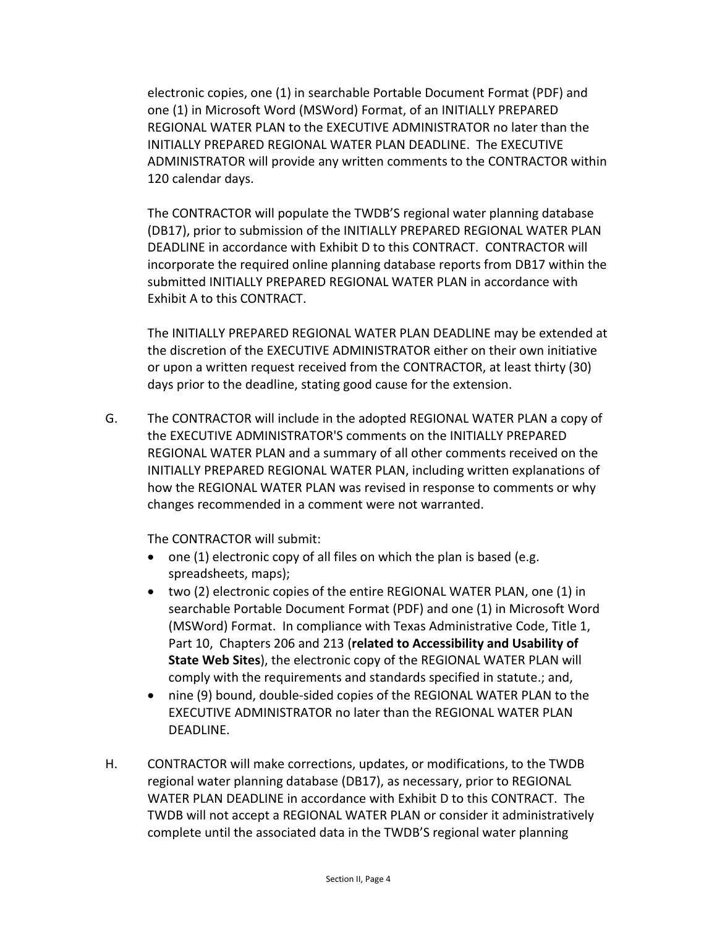electronic copies, one (1) in searchable Portable Document Format (PDF) and one (1) in Microsoft Word (MSWord) Format, of an INITIALLY PREPARED REGIONAL WATER PLAN to the EXECUTIVE ADMINISTRATOR no later than the INITIALLY PREPARED REGIONAL WATER PLAN DEADLINE. The EXECUTIVE ADMINISTRATOR will provide any written comments to the CONTRACTOR within 120 calendar days.

The CONTRACTOR will populate the TWDB'S regional water planning database (DB17), prior to submission of the INITIALLY PREPARED REGIONAL WATER PLAN DEADLINE in accordance with Exhibit D to this CONTRACT. CONTRACTOR will incorporate the required online planning database reports from DB17 within the submitted INITIALLY PREPARED REGIONAL WATER PLAN in accordance with Exhibit A to this CONTRACT.

The INITIALLY PREPARED REGIONAL WATER PLAN DEADLINE may be extended at the discretion of the EXECUTIVE ADMINISTRATOR either on their own initiative or upon a written request received from the CONTRACTOR, at least thirty (30) days prior to the deadline, stating good cause for the extension.

G. The CONTRACTOR will include in the adopted REGIONAL WATER PLAN a copy of the EXECUTIVE ADMINISTRATOR'S comments on the INITIALLY PREPARED REGIONAL WATER PLAN and a summary of all other comments received on the INITIALLY PREPARED REGIONAL WATER PLAN, including written explanations of how the REGIONAL WATER PLAN was revised in response to comments or why changes recommended in a comment were not warranted.

The CONTRACTOR will submit:

- one (1) electronic copy of all files on which the plan is based (e.g. spreadsheets, maps);
- two (2) electronic copies of the entire REGIONAL WATER PLAN, one (1) in searchable Portable Document Format (PDF) and one (1) in Microsoft Word (MSWord) Format. In compliance with Texas Administrative Code, Title 1, Part 10, Chapters 206 and 213 (**related to Accessibility and Usability of State Web Sites**), the electronic copy of the REGIONAL WATER PLAN will comply with the requirements and standards specified in statute.; and,
- nine (9) bound, double-sided copies of the REGIONAL WATER PLAN to the EXECUTIVE ADMINISTRATOR no later than the REGIONAL WATER PLAN DEADLINE.
- H. CONTRACTOR will make corrections, updates, or modifications, to the TWDB regional water planning database (DB17), as necessary, prior to REGIONAL WATER PLAN DEADLINE in accordance with Exhibit D to this CONTRACT. The TWDB will not accept a REGIONAL WATER PLAN or consider it administratively complete until the associated data in the TWDB'S regional water planning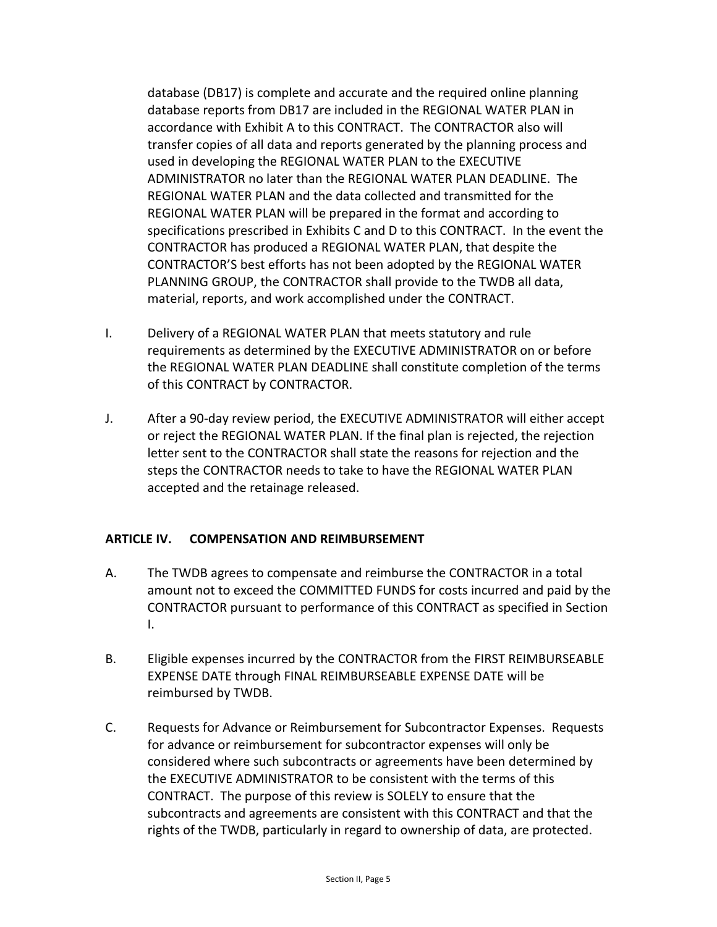database (DB17) is complete and accurate and the required online planning database reports from DB17 are included in the REGIONAL WATER PLAN in accordance with Exhibit A to this CONTRACT. The CONTRACTOR also will transfer copies of all data and reports generated by the planning process and used in developing the REGIONAL WATER PLAN to the EXECUTIVE ADMINISTRATOR no later than the REGIONAL WATER PLAN DEADLINE. The REGIONAL WATER PLAN and the data collected and transmitted for the REGIONAL WATER PLAN will be prepared in the format and according to specifications prescribed in Exhibits C and D to this CONTRACT. In the event the CONTRACTOR has produced a REGIONAL WATER PLAN, that despite the CONTRACTOR'S best efforts has not been adopted by the REGIONAL WATER PLANNING GROUP, the CONTRACTOR shall provide to the TWDB all data, material, reports, and work accomplished under the CONTRACT.

- I. Delivery of a REGIONAL WATER PLAN that meets statutory and rule requirements as determined by the EXECUTIVE ADMINISTRATOR on or before the REGIONAL WATER PLAN DEADLINE shall constitute completion of the terms of this CONTRACT by CONTRACTOR.
- J. After a 90-day review period, the EXECUTIVE ADMINISTRATOR will either accept or reject the REGIONAL WATER PLAN. If the final plan is rejected, the rejection letter sent to the CONTRACTOR shall state the reasons for rejection and the steps the CONTRACTOR needs to take to have the REGIONAL WATER PLAN accepted and the retainage released.

#### **ARTICLE IV. COMPENSATION AND REIMBURSEMENT**

- A. The TWDB agrees to compensate and reimburse the CONTRACTOR in a total amount not to exceed the COMMITTED FUNDS for costs incurred and paid by the CONTRACTOR pursuant to performance of this CONTRACT as specified in Section I.
- B. Eligible expenses incurred by the CONTRACTOR from the FIRST REIMBURSEABLE EXPENSE DATE through FINAL REIMBURSEABLE EXPENSE DATE will be reimbursed by TWDB.
- C. Requests for Advance or Reimbursement for Subcontractor Expenses. Requests for advance or reimbursement for subcontractor expenses will only be considered where such subcontracts or agreements have been determined by the EXECUTIVE ADMINISTRATOR to be consistent with the terms of this CONTRACT. The purpose of this review is SOLELY to ensure that the subcontracts and agreements are consistent with this CONTRACT and that the rights of the TWDB, particularly in regard to ownership of data, are protected.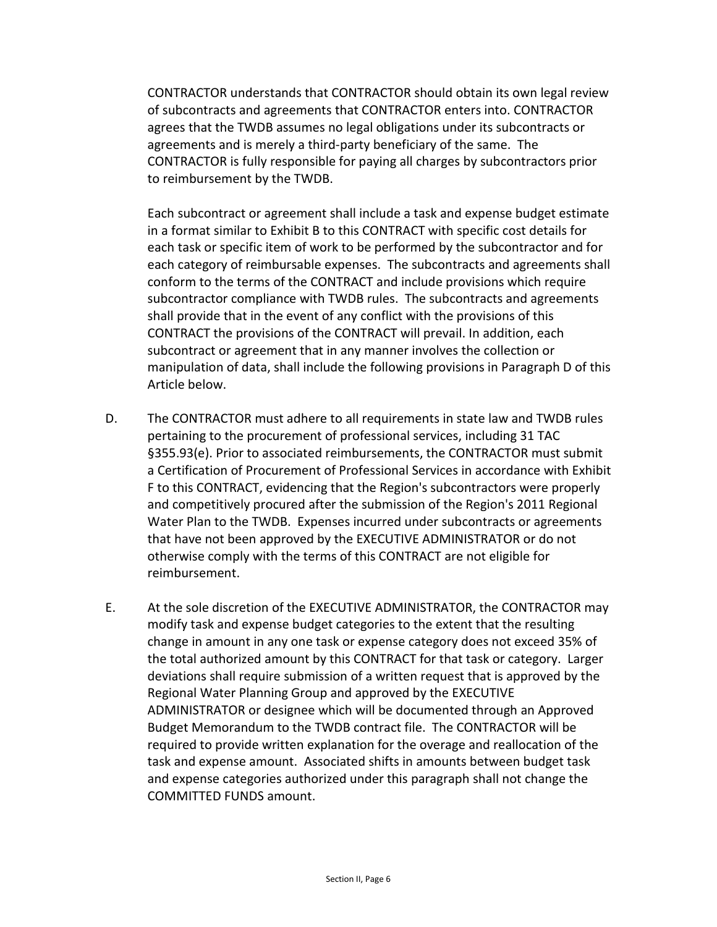CONTRACTOR understands that CONTRACTOR should obtain its own legal review of subcontracts and agreements that CONTRACTOR enters into. CONTRACTOR agrees that the TWDB assumes no legal obligations under its subcontracts or agreements and is merely a third-party beneficiary of the same. The CONTRACTOR is fully responsible for paying all charges by subcontractors prior to reimbursement by the TWDB.

Each subcontract or agreement shall include a task and expense budget estimate in a format similar to Exhibit B to this CONTRACT with specific cost details for each task or specific item of work to be performed by the subcontractor and for each category of reimbursable expenses. The subcontracts and agreements shall conform to the terms of the CONTRACT and include provisions which require subcontractor compliance with TWDB rules. The subcontracts and agreements shall provide that in the event of any conflict with the provisions of this CONTRACT the provisions of the CONTRACT will prevail. In addition, each subcontract or agreement that in any manner involves the collection or manipulation of data, shall include the following provisions in Paragraph D of this Article below.

- D. The CONTRACTOR must adhere to all requirements in state law and TWDB rules pertaining to the procurement of professional services, including 31 TAC §355.93(e). Prior to associated reimbursements, the CONTRACTOR must submit a Certification of Procurement of Professional Services in accordance with Exhibit F to this CONTRACT, evidencing that the Region's subcontractors were properly and competitively procured after the submission of the Region's 2011 Regional Water Plan to the TWDB. Expenses incurred under subcontracts or agreements that have not been approved by the EXECUTIVE ADMINISTRATOR or do not otherwise comply with the terms of this CONTRACT are not eligible for reimbursement.
- E. At the sole discretion of the EXECUTIVE ADMINISTRATOR, the CONTRACTOR may modify task and expense budget categories to the extent that the resulting change in amount in any one task or expense category does not exceed 35% of the total authorized amount by this CONTRACT for that task or category. Larger deviations shall require submission of a written request that is approved by the Regional Water Planning Group and approved by the EXECUTIVE ADMINISTRATOR or designee which will be documented through an Approved Budget Memorandum to the TWDB contract file. The CONTRACTOR will be required to provide written explanation for the overage and reallocation of the task and expense amount. Associated shifts in amounts between budget task and expense categories authorized under this paragraph shall not change the COMMITTED FUNDS amount.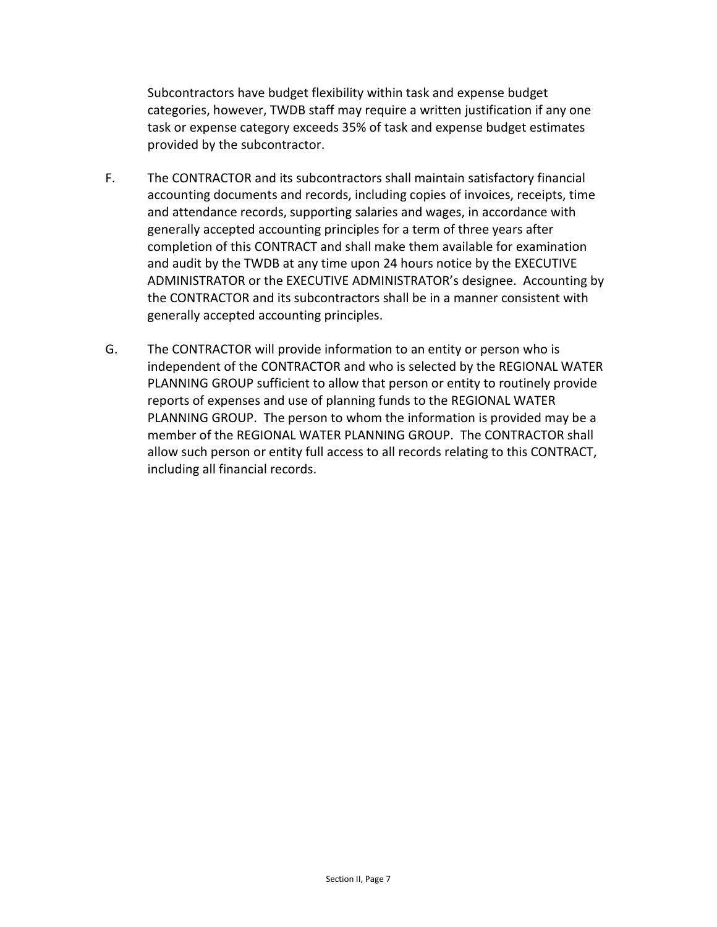Subcontractors have budget flexibility within task and expense budget categories, however, TWDB staff may require a written justification if any one task or expense category exceeds 35% of task and expense budget estimates provided by the subcontractor.

- F. The CONTRACTOR and its subcontractors shall maintain satisfactory financial accounting documents and records, including copies of invoices, receipts, time and attendance records, supporting salaries and wages, in accordance with generally accepted accounting principles for a term of three years after completion of this CONTRACT and shall make them available for examination and audit by the TWDB at any time upon 24 hours notice by the EXECUTIVE ADMINISTRATOR or the EXECUTIVE ADMINISTRATOR's designee. Accounting by the CONTRACTOR and its subcontractors shall be in a manner consistent with generally accepted accounting principles.
- G. The CONTRACTOR will provide information to an entity or person who is independent of the CONTRACTOR and who is selected by the REGIONAL WATER PLANNING GROUP sufficient to allow that person or entity to routinely provide reports of expenses and use of planning funds to the REGIONAL WATER PLANNING GROUP. The person to whom the information is provided may be a member of the REGIONAL WATER PLANNING GROUP. The CONTRACTOR shall allow such person or entity full access to all records relating to this CONTRACT, including all financial records.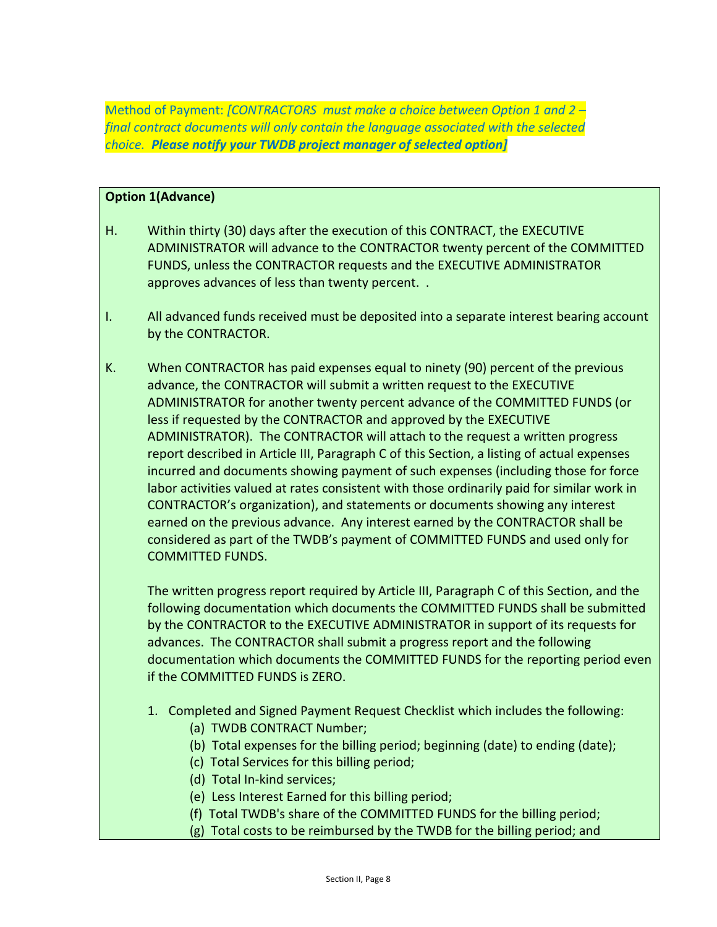Method of Payment: *[CONTRACTORS must make a choice between Option 1 and 2 – final contract documents will only contain the language associated with the selected choice. Please notify your TWDB project manager of selected option]*

#### **Option 1(Advance)**

- H. Within thirty (30) days after the execution of this CONTRACT, the EXECUTIVE ADMINISTRATOR will advance to the CONTRACTOR twenty percent of the COMMITTED FUNDS, unless the CONTRACTOR requests and the EXECUTIVE ADMINISTRATOR approves advances of less than twenty percent. .
- I. All advanced funds received must be deposited into a separate interest bearing account by the CONTRACTOR.
- K. When CONTRACTOR has paid expenses equal to ninety (90) percent of the previous advance, the CONTRACTOR will submit a written request to the EXECUTIVE ADMINISTRATOR for another twenty percent advance of the COMMITTED FUNDS (or less if requested by the CONTRACTOR and approved by the EXECUTIVE ADMINISTRATOR). The CONTRACTOR will attach to the request a written progress report described in Article III, Paragraph C of this Section, a listing of actual expenses incurred and documents showing payment of such expenses (including those for force labor activities valued at rates consistent with those ordinarily paid for similar work in CONTRACTOR's organization), and statements or documents showing any interest earned on the previous advance. Any interest earned by the CONTRACTOR shall be considered as part of the TWDB's payment of COMMITTED FUNDS and used only for COMMITTED FUNDS.

The written progress report required by Article III, Paragraph C of this Section, and the following documentation which documents the COMMITTED FUNDS shall be submitted by the CONTRACTOR to the EXECUTIVE ADMINISTRATOR in support of its requests for advances. The CONTRACTOR shall submit a progress report and the following documentation which documents the COMMITTED FUNDS for the reporting period even if the COMMITTED FUNDS is ZERO.

- 1. Completed and Signed Payment Request Checklist which includes the following:
	- (a) TWDB CONTRACT Number;
	- (b) Total expenses for the billing period; beginning (date) to ending (date);
	- (c) Total Services for this billing period;
	- (d) Total In-kind services;
	- (e) Less Interest Earned for this billing period;
	- (f) Total TWDB's share of the COMMITTED FUNDS for the billing period;
	- (g) Total costs to be reimbursed by the TWDB for the billing period; and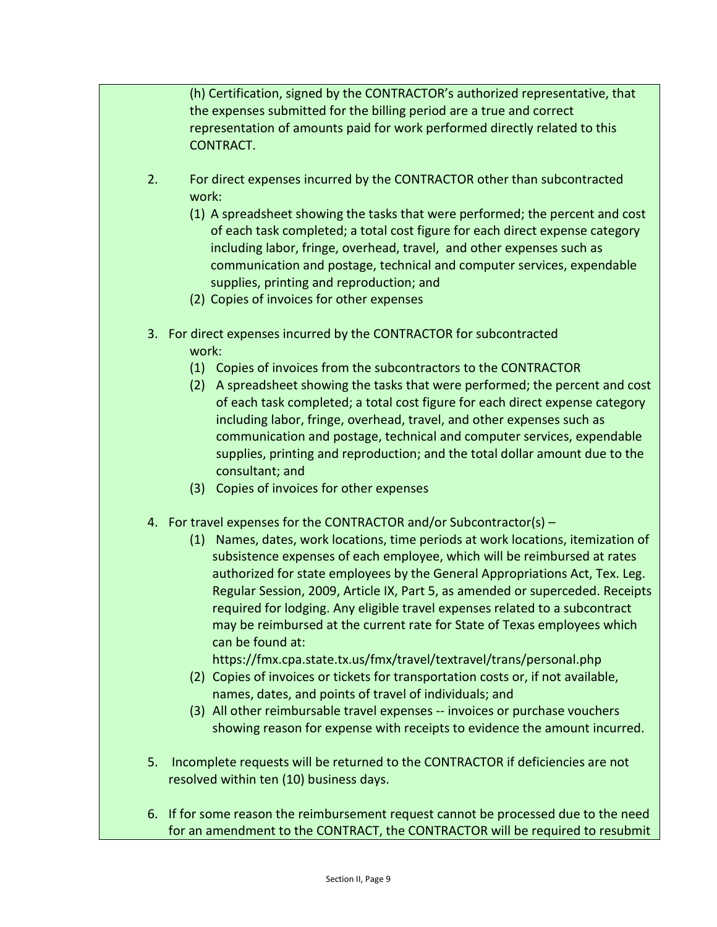(h) Certification, signed by the CONTRACTOR's authorized representative, that the expenses submitted for the billing period are a true and correct representation of amounts paid for work performed directly related to this CONTRACT.

- 2. For direct expenses incurred by the CONTRACTOR other than subcontracted work:
	- (1) A spreadsheet showing the tasks that were performed; the percent and cost of each task completed; a total cost figure for each direct expense category including labor, fringe, overhead, travel, and other expenses such as communication and postage, technical and computer services, expendable supplies, printing and reproduction; and
	- (2) Copies of invoices for other expenses
- 3. For direct expenses incurred by the CONTRACTOR for subcontracted work:
	- (1) Copies of invoices from the subcontractors to the CONTRACTOR
	- (2) A spreadsheet showing the tasks that were performed; the percent and cost of each task completed; a total cost figure for each direct expense category including labor, fringe, overhead, travel, and other expenses such as communication and postage, technical and computer services, expendable supplies, printing and reproduction; and the total dollar amount due to the consultant; and
	- (3) Copies of invoices for other expenses
- 4. For travel expenses for the CONTRACTOR and/or Subcontractor(s)
	- (1) Names, dates, work locations, time periods at work locations, itemization of subsistence expenses of each employee, which will be reimbursed at rates authorized for state employees by the General Appropriations Act, Tex. Leg. Regular Session, 2009, Article IX, Part 5, as amended or superceded. Receipts required for lodging. Any eligible travel expenses related to a subcontract may be reimbursed at the current rate for State of Texas employees which can be found at:

https://fmx.cpa.state.tx.us/fmx/travel/textravel/trans/personal.php

- (2) Copies of invoices or tickets for transportation costs or, if not available, names, dates, and points of travel of individuals; and
- (3) All other reimbursable travel expenses -- invoices or purchase vouchers showing reason for expense with receipts to evidence the amount incurred.
- 5. Incomplete requests will be returned to the CONTRACTOR if deficiencies are not resolved within ten (10) business days.
- 6. If for some reason the reimbursement request cannot be processed due to the need for an amendment to the CONTRACT, the CONTRACTOR will be required to resubmit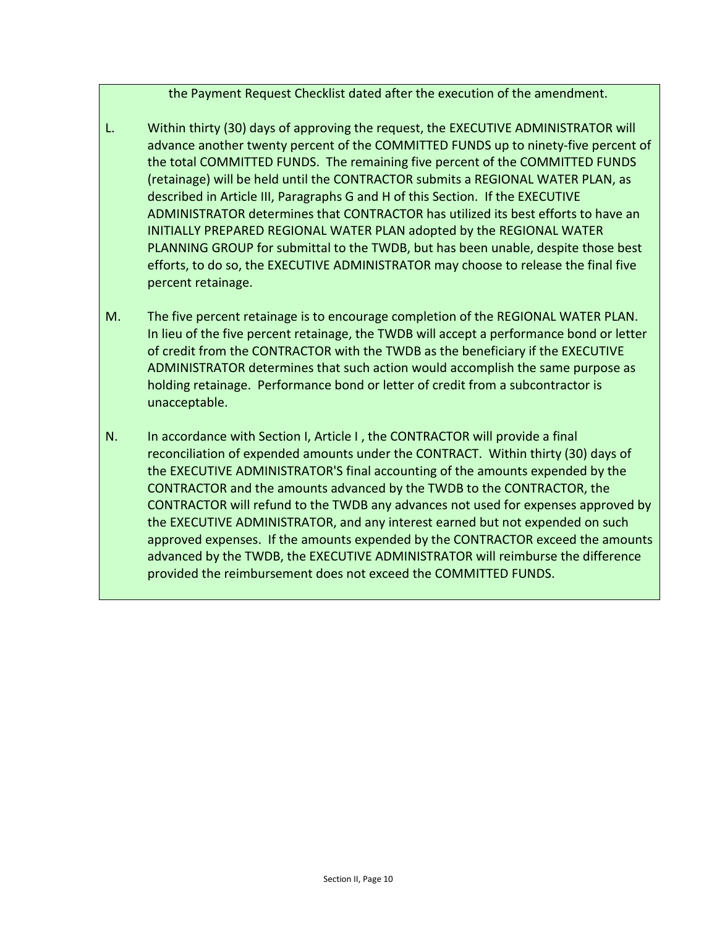the Payment Request Checklist dated after the execution of the amendment.

- L. Within thirty (30) days of approving the request, the EXECUTIVE ADMINISTRATOR will advance another twenty percent of the COMMITTED FUNDS up to ninety-five percent of the total COMMITTED FUNDS. The remaining five percent of the COMMITTED FUNDS (retainage) will be held until the CONTRACTOR submits a REGIONAL WATER PLAN, as described in Article III, Paragraphs G and H of this Section. If the EXECUTIVE ADMINISTRATOR determines that CONTRACTOR has utilized its best efforts to have an INITIALLY PREPARED REGIONAL WATER PLAN adopted by the REGIONAL WATER PLANNING GROUP for submittal to the TWDB, but has been unable, despite those best efforts, to do so, the EXECUTIVE ADMINISTRATOR may choose to release the final five percent retainage.
- M. The five percent retainage is to encourage completion of the REGIONAL WATER PLAN. In lieu of the five percent retainage, the TWDB will accept a performance bond or letter of credit from the CONTRACTOR with the TWDB as the beneficiary if the EXECUTIVE ADMINISTRATOR determines that such action would accomplish the same purpose as holding retainage. Performance bond or letter of credit from a subcontractor is unacceptable.
- N. In accordance with Section I, Article I, the CONTRACTOR will provide a final reconciliation of expended amounts under the CONTRACT. Within thirty (30) days of the EXECUTIVE ADMINISTRATOR'S final accounting of the amounts expended by the CONTRACTOR and the amounts advanced by the TWDB to the CONTRACTOR, the CONTRACTOR will refund to the TWDB any advances not used for expenses approved by the EXECUTIVE ADMINISTRATOR, and any interest earned but not expended on such approved expenses. If the amounts expended by the CONTRACTOR exceed the amounts advanced by the TWDB, the EXECUTIVE ADMINISTRATOR will reimburse the difference provided the reimbursement does not exceed the COMMITTED FUNDS.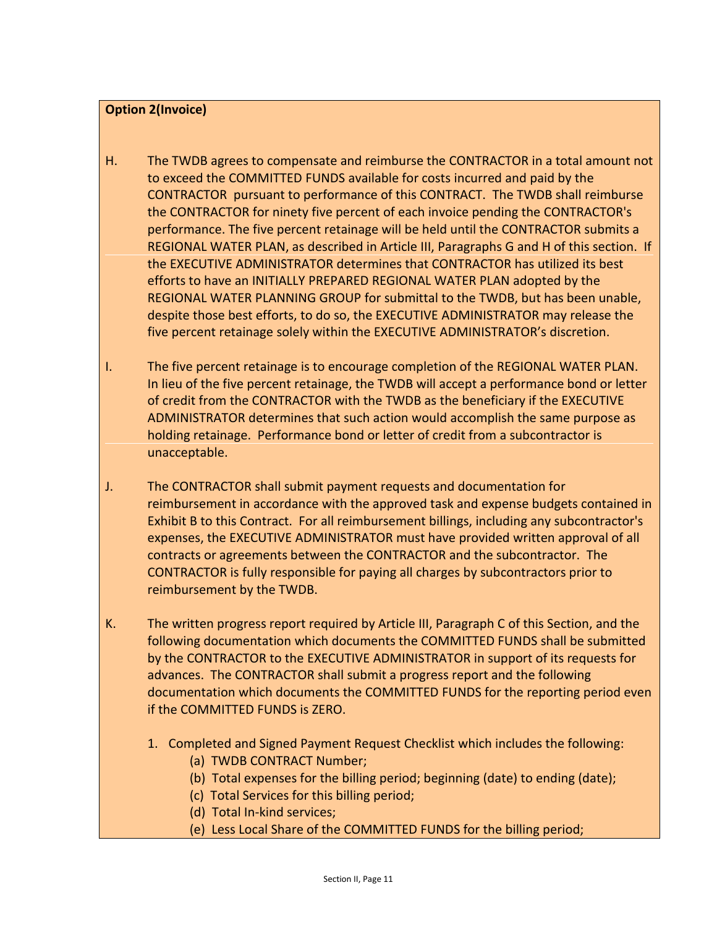### **Option 2(Invoice)**

- H. The TWDB agrees to compensate and reimburse the CONTRACTOR in a total amount not to exceed the COMMITTED FUNDS available for costs incurred and paid by the CONTRACTOR pursuant to performance of this CONTRACT. The TWDB shall reimburse the CONTRACTOR for ninety five percent of each invoice pending the CONTRACTOR's performance. The five percent retainage will be held until the CONTRACTOR submits a REGIONAL WATER PLAN, as described in Article III, Paragraphs G and H of this section. If the EXECUTIVE ADMINISTRATOR determines that CONTRACTOR has utilized its best efforts to have an INITIALLY PREPARED REGIONAL WATER PLAN adopted by the REGIONAL WATER PLANNING GROUP for submittal to the TWDB, but has been unable, despite those best efforts, to do so, the EXECUTIVE ADMINISTRATOR may release the five percent retainage solely within the EXECUTIVE ADMINISTRATOR's discretion.
- I. The five percent retainage is to encourage completion of the REGIONAL WATER PLAN. In lieu of the five percent retainage, the TWDB will accept a performance bond or letter of credit from the CONTRACTOR with the TWDB as the beneficiary if the EXECUTIVE ADMINISTRATOR determines that such action would accomplish the same purpose as holding retainage. Performance bond or letter of credit from a subcontractor is unacceptable.
- J. The CONTRACTOR shall submit payment requests and documentation for reimbursement in accordance with the approved task and expense budgets contained in Exhibit B to this Contract. For all reimbursement billings, including any subcontractor's expenses, the EXECUTIVE ADMINISTRATOR must have provided written approval of all contracts or agreements between the CONTRACTOR and the subcontractor. The CONTRACTOR is fully responsible for paying all charges by subcontractors prior to reimbursement by the TWDB.
- K. The written progress report required by Article III, Paragraph C of this Section, and the following documentation which documents the COMMITTED FUNDS shall be submitted by the CONTRACTOR to the EXECUTIVE ADMINISTRATOR in support of its requests for advances. The CONTRACTOR shall submit a progress report and the following documentation which documents the COMMITTED FUNDS for the reporting period even if the COMMITTED FUNDS is ZERO.
	- 1. Completed and Signed Payment Request Checklist which includes the following:
		- (a) TWDB CONTRACT Number;
		- (b) Total expenses for the billing period; beginning (date) to ending (date);
		- (c) Total Services for this billing period;
		- (d) Total In-kind services;
		- (e) Less Local Share of the COMMITTED FUNDS for the billing period;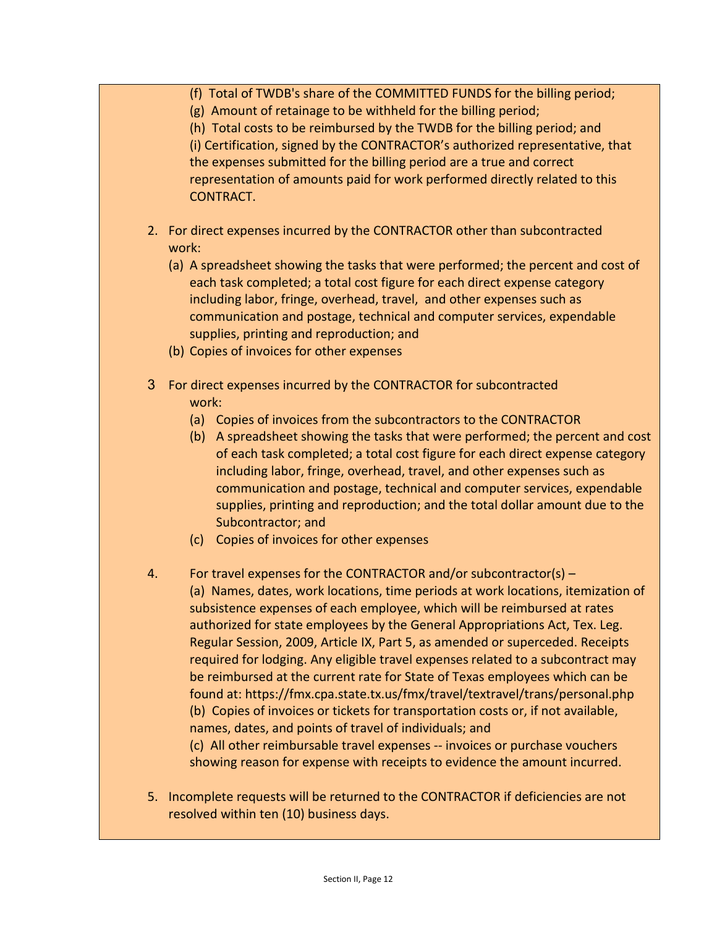- (f) Total of TWDB's share of the COMMITTED FUNDS for the billing period;
- (g) Amount of retainage to be withheld for the billing period;

(h) Total costs to be reimbursed by the TWDB for the billing period; and (i) Certification, signed by the CONTRACTOR's authorized representative, that the expenses submitted for the billing period are a true and correct representation of amounts paid for work performed directly related to this CONTRACT.

- 2. For direct expenses incurred by the CONTRACTOR other than subcontracted work:
	- (a) A spreadsheet showing the tasks that were performed; the percent and cost of each task completed; a total cost figure for each direct expense category including labor, fringe, overhead, travel, and other expenses such as communication and postage, technical and computer services, expendable supplies, printing and reproduction; and
	- (b) Copies of invoices for other expenses
- 3 For direct expenses incurred by the CONTRACTOR for subcontracted work:
	- (a) Copies of invoices from the subcontractors to the CONTRACTOR
	- (b) A spreadsheet showing the tasks that were performed; the percent and cost of each task completed; a total cost figure for each direct expense category including labor, fringe, overhead, travel, and other expenses such as communication and postage, technical and computer services, expendable supplies, printing and reproduction; and the total dollar amount due to the Subcontractor; and
	- (c) Copies of invoices for other expenses
- 4. For travel expenses for the CONTRACTOR and/or subcontractor(s) (a) Names, dates, work locations, time periods at work locations, itemization of subsistence expenses of each employee, which will be reimbursed at rates authorized for state employees by the General Appropriations Act, Tex. Leg. Regular Session, 2009, Article IX, Part 5, as amended or superceded. Receipts required for lodging. Any eligible travel expenses related to a subcontract may be reimbursed at the current rate for State of Texas employees which can be found at: https://fmx.cpa.state.tx.us/fmx/travel/textravel/trans/personal.php (b) Copies of invoices or tickets for transportation costs or, if not available, names, dates, and points of travel of individuals; and (c) All other reimbursable travel expenses -- invoices or purchase vouchers

showing reason for expense with receipts to evidence the amount incurred.

5. Incomplete requests will be returned to the CONTRACTOR if deficiencies are not resolved within ten (10) business days.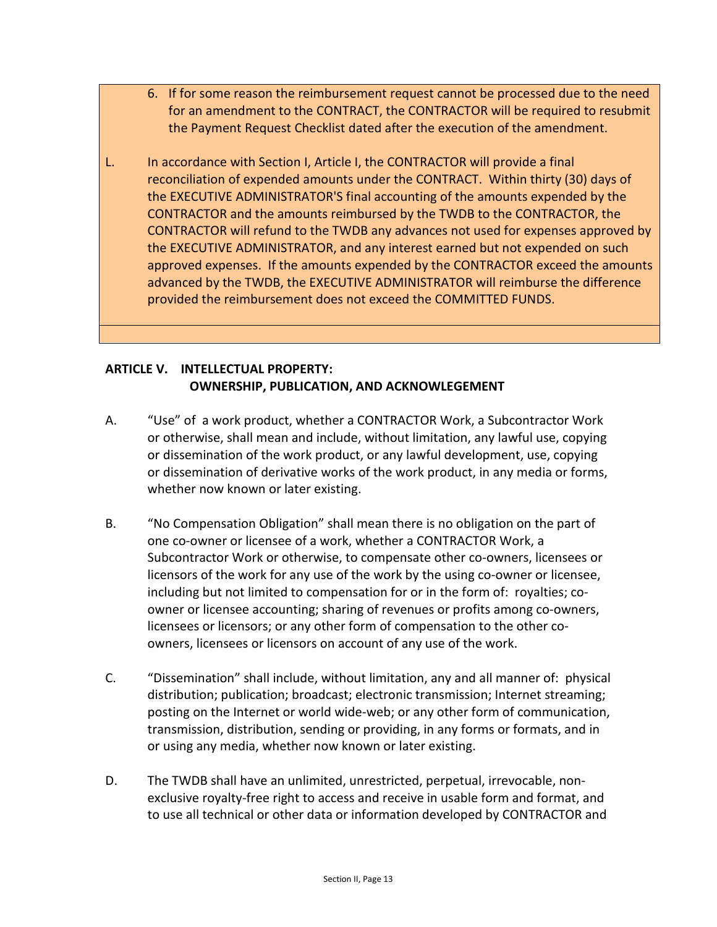- 6. If for some reason the reimbursement request cannot be processed due to the need for an amendment to the CONTRACT, the CONTRACTOR will be required to resubmit the Payment Request Checklist dated after the execution of the amendment.
- L. In accordance with Section I, Article I, the CONTRACTOR will provide a final reconciliation of expended amounts under the CONTRACT. Within thirty (30) days of the EXECUTIVE ADMINISTRATOR'S final accounting of the amounts expended by the CONTRACTOR and the amounts reimbursed by the TWDB to the CONTRACTOR, the CONTRACTOR will refund to the TWDB any advances not used for expenses approved by the EXECUTIVE ADMINISTRATOR, and any interest earned but not expended on such approved expenses. If the amounts expended by the CONTRACTOR exceed the amounts advanced by the TWDB, the EXECUTIVE ADMINISTRATOR will reimburse the difference provided the reimbursement does not exceed the COMMITTED FUNDS.

# **ARTICLE V. INTELLECTUAL PROPERTY: OWNERSHIP, PUBLICATION, AND ACKNOWLEGEMENT**

- A. "Use" of a work product, whether a CONTRACTOR Work, a Subcontractor Work or otherwise, shall mean and include, without limitation, any lawful use, copying or dissemination of the work product, or any lawful development, use, copying or dissemination of derivative works of the work product, in any media or forms, whether now known or later existing.
- B. "No Compensation Obligation" shall mean there is no obligation on the part of one co-owner or licensee of a work, whether a CONTRACTOR Work, a Subcontractor Work or otherwise, to compensate other co-owners, licensees or licensors of the work for any use of the work by the using co-owner or licensee, including but not limited to compensation for or in the form of: royalties; coowner or licensee accounting; sharing of revenues or profits among co-owners, licensees or licensors; or any other form of compensation to the other coowners, licensees or licensors on account of any use of the work.
- C. "Dissemination" shall include, without limitation, any and all manner of: physical distribution; publication; broadcast; electronic transmission; Internet streaming; posting on the Internet or world wide-web; or any other form of communication, transmission, distribution, sending or providing, in any forms or formats, and in or using any media, whether now known or later existing.
- D. The TWDB shall have an unlimited, unrestricted, perpetual, irrevocable, nonexclusive royalty-free right to access and receive in usable form and format, and to use all technical or other data or information developed by CONTRACTOR and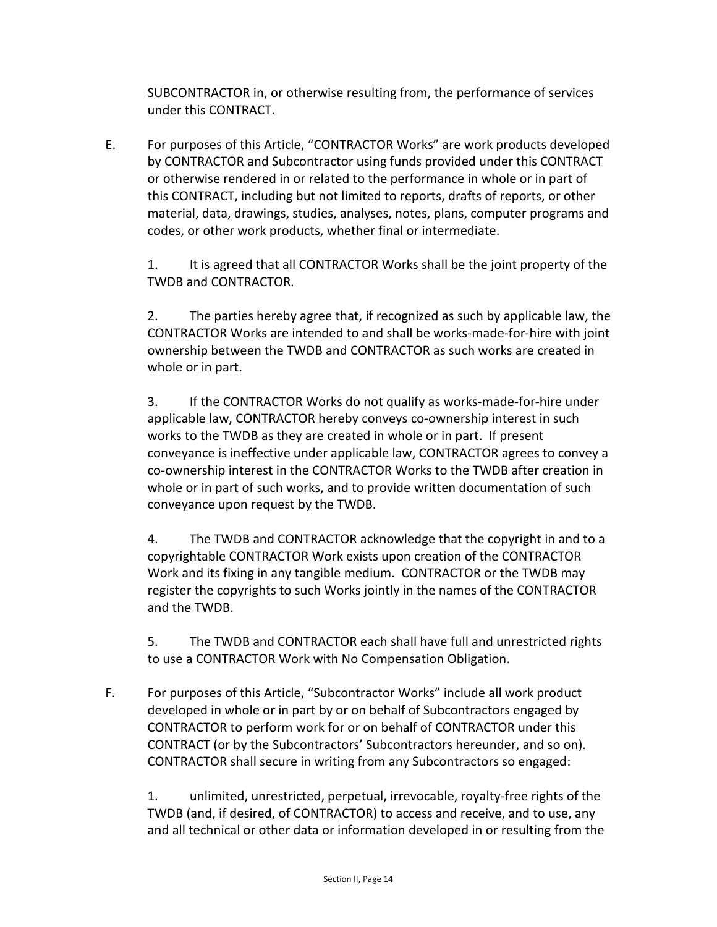SUBCONTRACTOR in, or otherwise resulting from, the performance of services under this CONTRACT.

E. For purposes of this Article, "CONTRACTOR Works" are work products developed by CONTRACTOR and Subcontractor using funds provided under this CONTRACT or otherwise rendered in or related to the performance in whole or in part of this CONTRACT, including but not limited to reports, drafts of reports, or other material, data, drawings, studies, analyses, notes, plans, computer programs and codes, or other work products, whether final or intermediate.

1. It is agreed that all CONTRACTOR Works shall be the joint property of the TWDB and CONTRACTOR.

2. The parties hereby agree that, if recognized as such by applicable law, the CONTRACTOR Works are intended to and shall be works-made-for-hire with joint ownership between the TWDB and CONTRACTOR as such works are created in whole or in part.

3. If the CONTRACTOR Works do not qualify as works-made-for-hire under applicable law, CONTRACTOR hereby conveys co-ownership interest in such works to the TWDB as they are created in whole or in part. If present conveyance is ineffective under applicable law, CONTRACTOR agrees to convey a co-ownership interest in the CONTRACTOR Works to the TWDB after creation in whole or in part of such works, and to provide written documentation of such conveyance upon request by the TWDB.

4. The TWDB and CONTRACTOR acknowledge that the copyright in and to a copyrightable CONTRACTOR Work exists upon creation of the CONTRACTOR Work and its fixing in any tangible medium. CONTRACTOR or the TWDB may register the copyrights to such Works jointly in the names of the CONTRACTOR and the TWDB.

5. The TWDB and CONTRACTOR each shall have full and unrestricted rights to use a CONTRACTOR Work with No Compensation Obligation.

F. For purposes of this Article, "Subcontractor Works" include all work product developed in whole or in part by or on behalf of Subcontractors engaged by CONTRACTOR to perform work for or on behalf of CONTRACTOR under this CONTRACT (or by the Subcontractors' Subcontractors hereunder, and so on). CONTRACTOR shall secure in writing from any Subcontractors so engaged:

1. unlimited, unrestricted, perpetual, irrevocable, royalty-free rights of the TWDB (and, if desired, of CONTRACTOR) to access and receive, and to use, any and all technical or other data or information developed in or resulting from the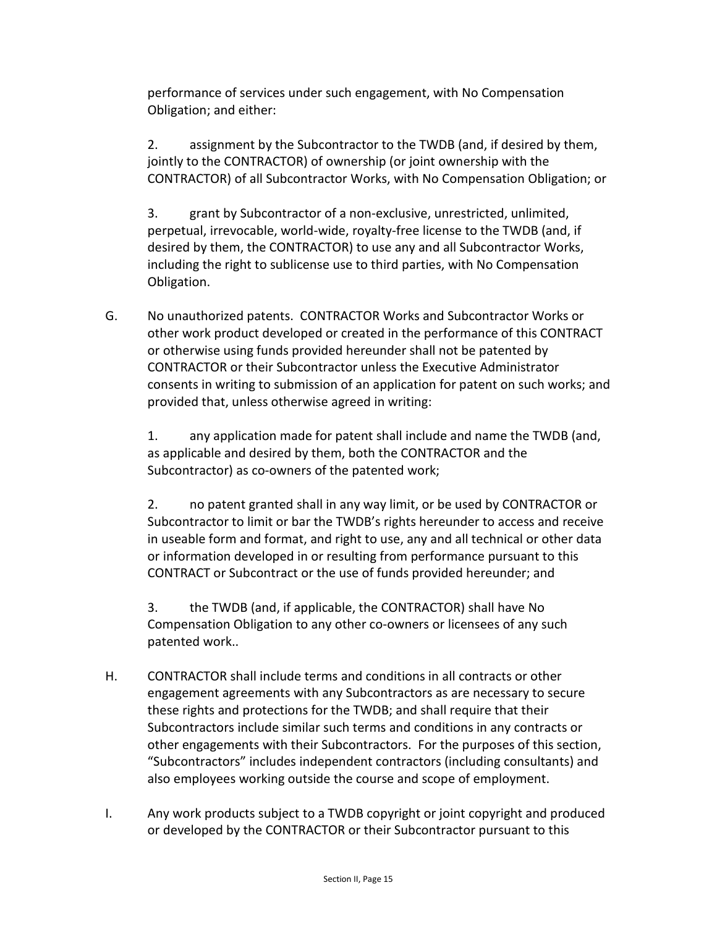performance of services under such engagement, with No Compensation Obligation; and either:

2. assignment by the Subcontractor to the TWDB (and, if desired by them, jointly to the CONTRACTOR) of ownership (or joint ownership with the CONTRACTOR) of all Subcontractor Works, with No Compensation Obligation; or

3. grant by Subcontractor of a non-exclusive, unrestricted, unlimited, perpetual, irrevocable, world-wide, royalty-free license to the TWDB (and, if desired by them, the CONTRACTOR) to use any and all Subcontractor Works, including the right to sublicense use to third parties, with No Compensation Obligation.

G. No unauthorized patents. CONTRACTOR Works and Subcontractor Works or other work product developed or created in the performance of this CONTRACT or otherwise using funds provided hereunder shall not be patented by CONTRACTOR or their Subcontractor unless the Executive Administrator consents in writing to submission of an application for patent on such works; and provided that, unless otherwise agreed in writing:

1. any application made for patent shall include and name the TWDB (and, as applicable and desired by them, both the CONTRACTOR and the Subcontractor) as co-owners of the patented work;

2. no patent granted shall in any way limit, or be used by CONTRACTOR or Subcontractor to limit or bar the TWDB's rights hereunder to access and receive in useable form and format, and right to use, any and all technical or other data or information developed in or resulting from performance pursuant to this CONTRACT or Subcontract or the use of funds provided hereunder; and

3. the TWDB (and, if applicable, the CONTRACTOR) shall have No Compensation Obligation to any other co-owners or licensees of any such patented work..

- H. CONTRACTOR shall include terms and conditions in all contracts or other engagement agreements with any Subcontractors as are necessary to secure these rights and protections for the TWDB; and shall require that their Subcontractors include similar such terms and conditions in any contracts or other engagements with their Subcontractors. For the purposes of this section, "Subcontractors" includes independent contractors (including consultants) and also employees working outside the course and scope of employment.
- I. Any work products subject to a TWDB copyright or joint copyright and produced or developed by the CONTRACTOR or their Subcontractor pursuant to this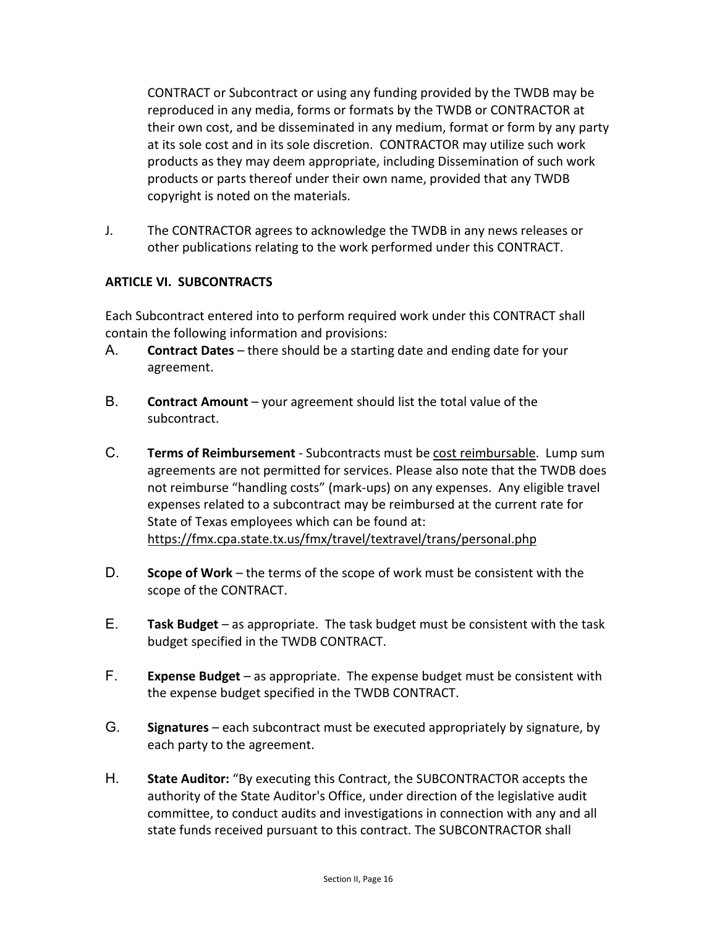CONTRACT or Subcontract or using any funding provided by the TWDB may be reproduced in any media, forms or formats by the TWDB or CONTRACTOR at their own cost, and be disseminated in any medium, format or form by any party at its sole cost and in its sole discretion. CONTRACTOR may utilize such work products as they may deem appropriate, including Dissemination of such work products or parts thereof under their own name, provided that any TWDB copyright is noted on the materials.

J. The CONTRACTOR agrees to acknowledge the TWDB in any news releases or other publications relating to the work performed under this CONTRACT.

## **ARTICLE VI. SUBCONTRACTS**

Each Subcontract entered into to perform required work under this CONTRACT shall contain the following information and provisions:

- A. **Contract Dates** there should be a starting date and ending date for your agreement.
- B. **Contract Amount** your agreement should list the total value of the subcontract.
- C. **Terms of Reimbursement** Subcontracts must be cost reimbursable. Lump sum agreements are not permitted for services. Please also note that the TWDB does not reimburse "handling costs" (mark-ups) on any expenses. Any eligible travel expenses related to a subcontract may be reimbursed at the current rate for State of Texas employees which can be found at: <https://fmx.cpa.state.tx.us/fmx/travel/textravel/trans/personal.php>
- D. **Scope of Work** the terms of the scope of work must be consistent with the scope of the CONTRACT.
- E. **Task Budget** as appropriate. The task budget must be consistent with the task budget specified in the TWDB CONTRACT.
- F. **Expense Budget** as appropriate. The expense budget must be consistent with the expense budget specified in the TWDB CONTRACT.
- G. **Signatures** each subcontract must be executed appropriately by signature, by each party to the agreement.
- H. **State Auditor:** "By executing this Contract, the SUBCONTRACTOR accepts the authority of the State Auditor's Office, under direction of the legislative audit committee, to conduct audits and investigations in connection with any and all state funds received pursuant to this contract. The SUBCONTRACTOR shall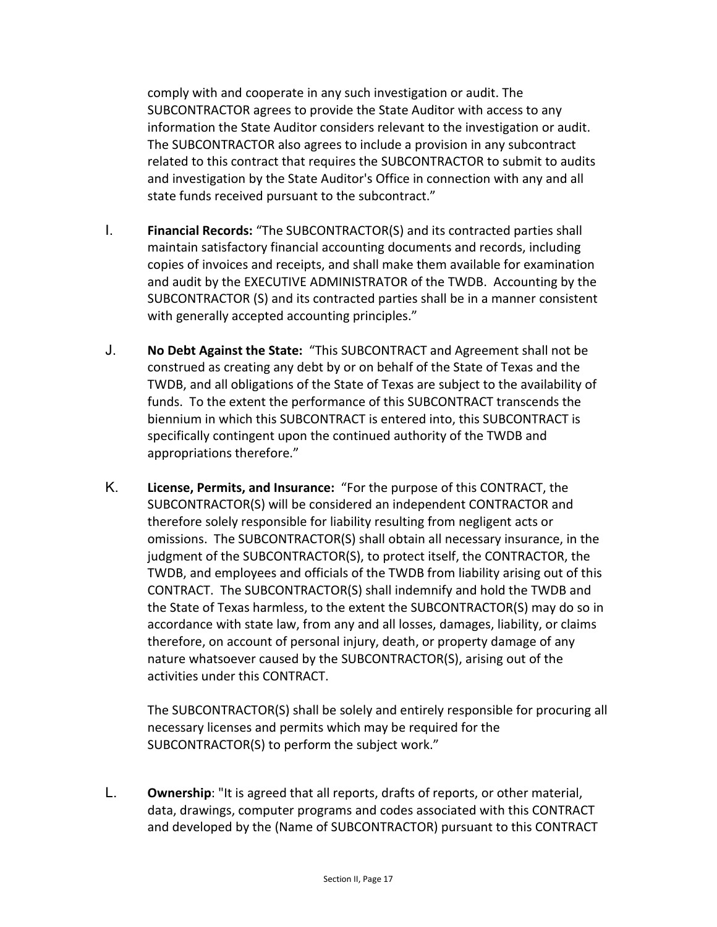comply with and cooperate in any such investigation or audit. The SUBCONTRACTOR agrees to provide the State Auditor with access to any information the State Auditor considers relevant to the investigation or audit. The SUBCONTRACTOR also agrees to include a provision in any subcontract related to this contract that requires the SUBCONTRACTOR to submit to audits and investigation by the State Auditor's Office in connection with any and all state funds received pursuant to the subcontract."

- I. **Financial Records:** "The SUBCONTRACTOR(S) and its contracted parties shall maintain satisfactory financial accounting documents and records, including copies of invoices and receipts, and shall make them available for examination and audit by the EXECUTIVE ADMINISTRATOR of the TWDB. Accounting by the SUBCONTRACTOR (S) and its contracted parties shall be in a manner consistent with generally accepted accounting principles."
- J. **No Debt Against the State:** "This SUBCONTRACT and Agreement shall not be construed as creating any debt by or on behalf of the State of Texas and the TWDB, and all obligations of the State of Texas are subject to the availability of funds. To the extent the performance of this SUBCONTRACT transcends the biennium in which this SUBCONTRACT is entered into, this SUBCONTRACT is specifically contingent upon the continued authority of the TWDB and appropriations therefore."
- K. **License, Permits, and Insurance:** "For the purpose of this CONTRACT, the SUBCONTRACTOR(S) will be considered an independent CONTRACTOR and therefore solely responsible for liability resulting from negligent acts or omissions. The SUBCONTRACTOR(S) shall obtain all necessary insurance, in the judgment of the SUBCONTRACTOR(S), to protect itself, the CONTRACTOR, the TWDB, and employees and officials of the TWDB from liability arising out of this CONTRACT. The SUBCONTRACTOR(S) shall indemnify and hold the TWDB and the State of Texas harmless, to the extent the SUBCONTRACTOR(S) may do so in accordance with state law, from any and all losses, damages, liability, or claims therefore, on account of personal injury, death, or property damage of any nature whatsoever caused by the SUBCONTRACTOR(S), arising out of the activities under this CONTRACT.

The SUBCONTRACTOR(S) shall be solely and entirely responsible for procuring all necessary licenses and permits which may be required for the SUBCONTRACTOR(S) to perform the subject work."

L. **Ownership**: "It is agreed that all reports, drafts of reports, or other material, data, drawings, computer programs and codes associated with this CONTRACT and developed by the (Name of SUBCONTRACTOR) pursuant to this CONTRACT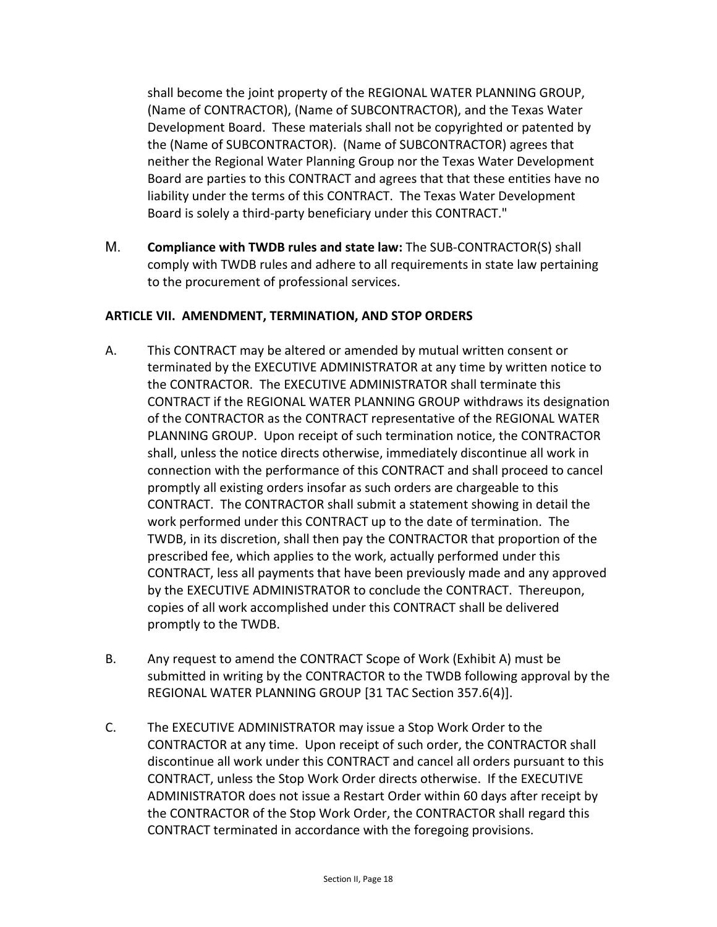shall become the joint property of the REGIONAL WATER PLANNING GROUP, (Name of CONTRACTOR), (Name of SUBCONTRACTOR), and the Texas Water Development Board. These materials shall not be copyrighted or patented by the (Name of SUBCONTRACTOR). (Name of SUBCONTRACTOR) agrees that neither the Regional Water Planning Group nor the Texas Water Development Board are parties to this CONTRACT and agrees that that these entities have no liability under the terms of this CONTRACT. The Texas Water Development Board is solely a third-party beneficiary under this CONTRACT."

M. **Compliance with TWDB rules and state law:** The SUB-CONTRACTOR(S) shall comply with TWDB rules and adhere to all requirements in state law pertaining to the procurement of professional services.

## **ARTICLE VII. AMENDMENT, TERMINATION, AND STOP ORDERS**

- A. This CONTRACT may be altered or amended by mutual written consent or terminated by the EXECUTIVE ADMINISTRATOR at any time by written notice to the CONTRACTOR. The EXECUTIVE ADMINISTRATOR shall terminate this CONTRACT if the REGIONAL WATER PLANNING GROUP withdraws its designation of the CONTRACTOR as the CONTRACT representative of the REGIONAL WATER PLANNING GROUP. Upon receipt of such termination notice, the CONTRACTOR shall, unless the notice directs otherwise, immediately discontinue all work in connection with the performance of this CONTRACT and shall proceed to cancel promptly all existing orders insofar as such orders are chargeable to this CONTRACT. The CONTRACTOR shall submit a statement showing in detail the work performed under this CONTRACT up to the date of termination. The TWDB, in its discretion, shall then pay the CONTRACTOR that proportion of the prescribed fee, which applies to the work, actually performed under this CONTRACT, less all payments that have been previously made and any approved by the EXECUTIVE ADMINISTRATOR to conclude the CONTRACT. Thereupon, copies of all work accomplished under this CONTRACT shall be delivered promptly to the TWDB.
- B. Any request to amend the CONTRACT Scope of Work (Exhibit A) must be submitted in writing by the CONTRACTOR to the TWDB following approval by the REGIONAL WATER PLANNING GROUP [31 TAC Section 357.6(4)].
- C. The EXECUTIVE ADMINISTRATOR may issue a Stop Work Order to the CONTRACTOR at any time. Upon receipt of such order, the CONTRACTOR shall discontinue all work under this CONTRACT and cancel all orders pursuant to this CONTRACT, unless the Stop Work Order directs otherwise. If the EXECUTIVE ADMINISTRATOR does not issue a Restart Order within 60 days after receipt by the CONTRACTOR of the Stop Work Order, the CONTRACTOR shall regard this CONTRACT terminated in accordance with the foregoing provisions.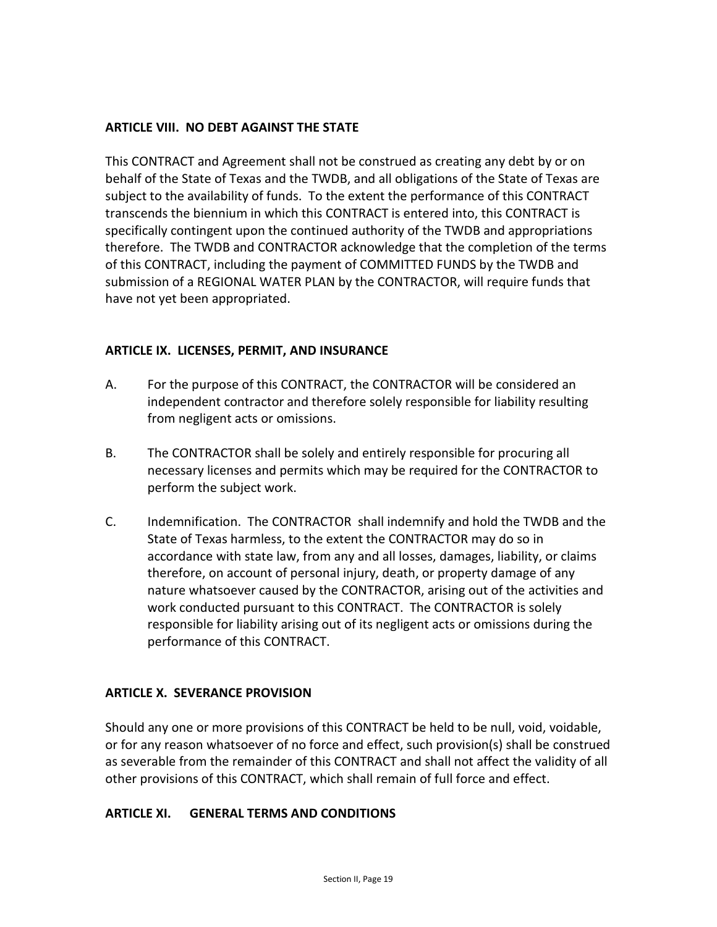#### **ARTICLE VIII. NO DEBT AGAINST THE STATE**

This CONTRACT and Agreement shall not be construed as creating any debt by or on behalf of the State of Texas and the TWDB, and all obligations of the State of Texas are subject to the availability of funds. To the extent the performance of this CONTRACT transcends the biennium in which this CONTRACT is entered into, this CONTRACT is specifically contingent upon the continued authority of the TWDB and appropriations therefore. The TWDB and CONTRACTOR acknowledge that the completion of the terms of this CONTRACT, including the payment of COMMITTED FUNDS by the TWDB and submission of a REGIONAL WATER PLAN by the CONTRACTOR, will require funds that have not yet been appropriated.

#### **ARTICLE IX. LICENSES, PERMIT, AND INSURANCE**

- A. For the purpose of this CONTRACT, the CONTRACTOR will be considered an independent contractor and therefore solely responsible for liability resulting from negligent acts or omissions.
- B. The CONTRACTOR shall be solely and entirely responsible for procuring all necessary licenses and permits which may be required for the CONTRACTOR to perform the subject work.
- C. Indemnification. The CONTRACTOR shall indemnify and hold the TWDB and the State of Texas harmless, to the extent the CONTRACTOR may do so in accordance with state law, from any and all losses, damages, liability, or claims therefore, on account of personal injury, death, or property damage of any nature whatsoever caused by the CONTRACTOR, arising out of the activities and work conducted pursuant to this CONTRACT. The CONTRACTOR is solely responsible for liability arising out of its negligent acts or omissions during the performance of this CONTRACT.

#### **ARTICLE X. SEVERANCE PROVISION**

Should any one or more provisions of this CONTRACT be held to be null, void, voidable, or for any reason whatsoever of no force and effect, such provision(s) shall be construed as severable from the remainder of this CONTRACT and shall not affect the validity of all other provisions of this CONTRACT, which shall remain of full force and effect.

#### **ARTICLE XI. GENERAL TERMS AND CONDITIONS**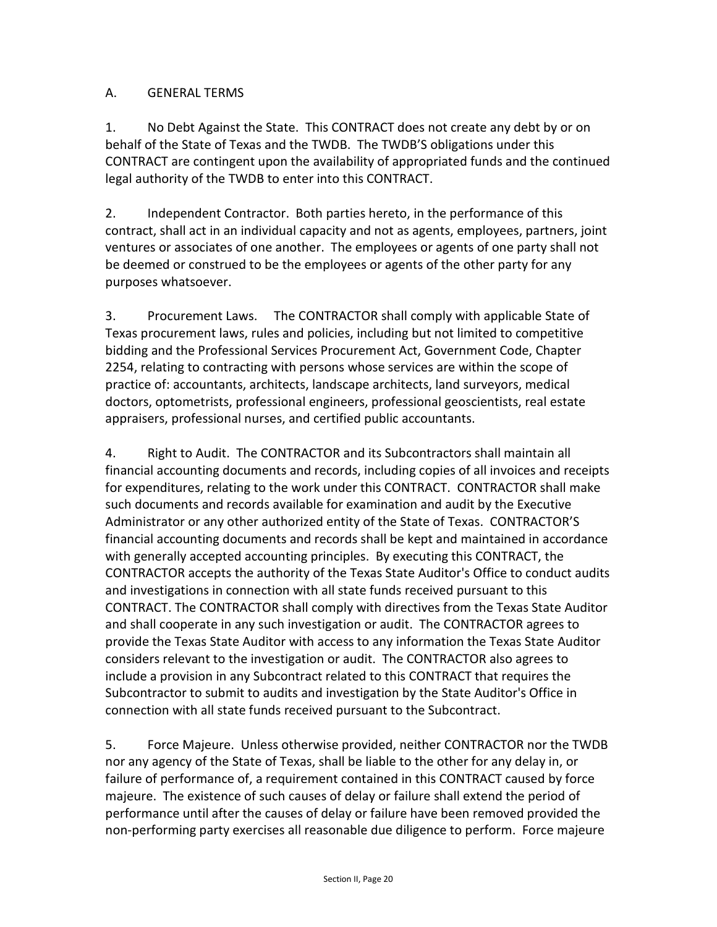## A. GENERAL TERMS

1. No Debt Against the State. This CONTRACT does not create any debt by or on behalf of the State of Texas and the TWDB. The TWDB'S obligations under this CONTRACT are contingent upon the availability of appropriated funds and the continued legal authority of the TWDB to enter into this CONTRACT.

2. Independent Contractor. Both parties hereto, in the performance of this contract, shall act in an individual capacity and not as agents, employees, partners, joint ventures or associates of one another. The employees or agents of one party shall not be deemed or construed to be the employees or agents of the other party for any purposes whatsoever.

3. Procurement Laws. The CONTRACTOR shall comply with applicable State of Texas procurement laws, rules and policies, including but not limited to competitive bidding and the Professional Services Procurement Act, Government Code, Chapter 2254, relating to contracting with persons whose services are within the scope of practice of: accountants, architects, landscape architects, land surveyors, medical doctors, optometrists, professional engineers, professional geoscientists, real estate appraisers, professional nurses, and certified public accountants.

4. Right to Audit. The CONTRACTOR and its Subcontractors shall maintain all financial accounting documents and records, including copies of all invoices and receipts for expenditures, relating to the work under this CONTRACT. CONTRACTOR shall make such documents and records available for examination and audit by the Executive Administrator or any other authorized entity of the State of Texas. CONTRACTOR'S financial accounting documents and records shall be kept and maintained in accordance with generally accepted accounting principles. By executing this CONTRACT, the CONTRACTOR accepts the authority of the Texas State Auditor's Office to conduct audits and investigations in connection with all state funds received pursuant to this CONTRACT. The CONTRACTOR shall comply with directives from the Texas State Auditor and shall cooperate in any such investigation or audit. The CONTRACTOR agrees to provide the Texas State Auditor with access to any information the Texas State Auditor considers relevant to the investigation or audit. The CONTRACTOR also agrees to include a provision in any Subcontract related to this CONTRACT that requires the Subcontractor to submit to audits and investigation by the State Auditor's Office in connection with all state funds received pursuant to the Subcontract.

5. Force Majeure. Unless otherwise provided, neither CONTRACTOR nor the TWDB nor any agency of the State of Texas, shall be liable to the other for any delay in, or failure of performance of, a requirement contained in this CONTRACT caused by force majeure. The existence of such causes of delay or failure shall extend the period of performance until after the causes of delay or failure have been removed provided the non-performing party exercises all reasonable due diligence to perform. Force majeure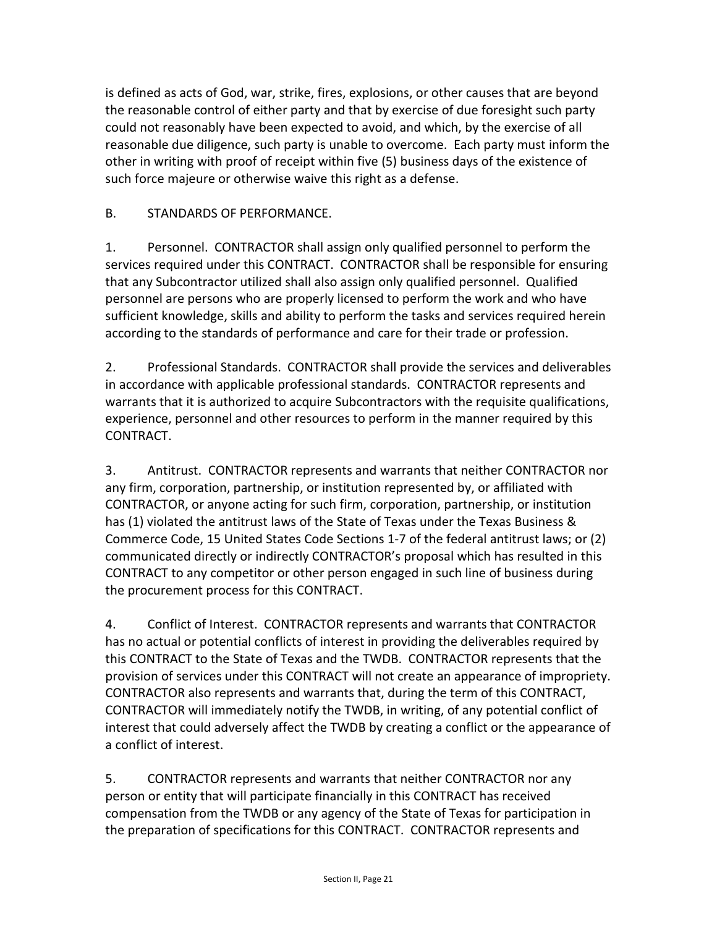is defined as acts of God, war, strike, fires, explosions, or other causes that are beyond the reasonable control of either party and that by exercise of due foresight such party could not reasonably have been expected to avoid, and which, by the exercise of all reasonable due diligence, such party is unable to overcome. Each party must inform the other in writing with proof of receipt within five (5) business days of the existence of such force majeure or otherwise waive this right as a defense.

# B. STANDARDS OF PERFORMANCE.

1. Personnel. CONTRACTOR shall assign only qualified personnel to perform the services required under this CONTRACT. CONTRACTOR shall be responsible for ensuring that any Subcontractor utilized shall also assign only qualified personnel. Qualified personnel are persons who are properly licensed to perform the work and who have sufficient knowledge, skills and ability to perform the tasks and services required herein according to the standards of performance and care for their trade or profession.

2. Professional Standards. CONTRACTOR shall provide the services and deliverables in accordance with applicable professional standards. CONTRACTOR represents and warrants that it is authorized to acquire Subcontractors with the requisite qualifications, experience, personnel and other resources to perform in the manner required by this CONTRACT.

3. Antitrust. CONTRACTOR represents and warrants that neither CONTRACTOR nor any firm, corporation, partnership, or institution represented by, or affiliated with CONTRACTOR, or anyone acting for such firm, corporation, partnership, or institution has (1) violated the antitrust laws of the State of Texas under the Texas Business & Commerce Code, 15 United States Code Sections 1-7 of the federal antitrust laws; or (2) communicated directly or indirectly CONTRACTOR's proposal which has resulted in this CONTRACT to any competitor or other person engaged in such line of business during the procurement process for this CONTRACT.

4. Conflict of Interest. CONTRACTOR represents and warrants that CONTRACTOR has no actual or potential conflicts of interest in providing the deliverables required by this CONTRACT to the State of Texas and the TWDB. CONTRACTOR represents that the provision of services under this CONTRACT will not create an appearance of impropriety. CONTRACTOR also represents and warrants that, during the term of this CONTRACT, CONTRACTOR will immediately notify the TWDB, in writing, of any potential conflict of interest that could adversely affect the TWDB by creating a conflict or the appearance of a conflict of interest.

5. CONTRACTOR represents and warrants that neither CONTRACTOR nor any person or entity that will participate financially in this CONTRACT has received compensation from the TWDB or any agency of the State of Texas for participation in the preparation of specifications for this CONTRACT. CONTRACTOR represents and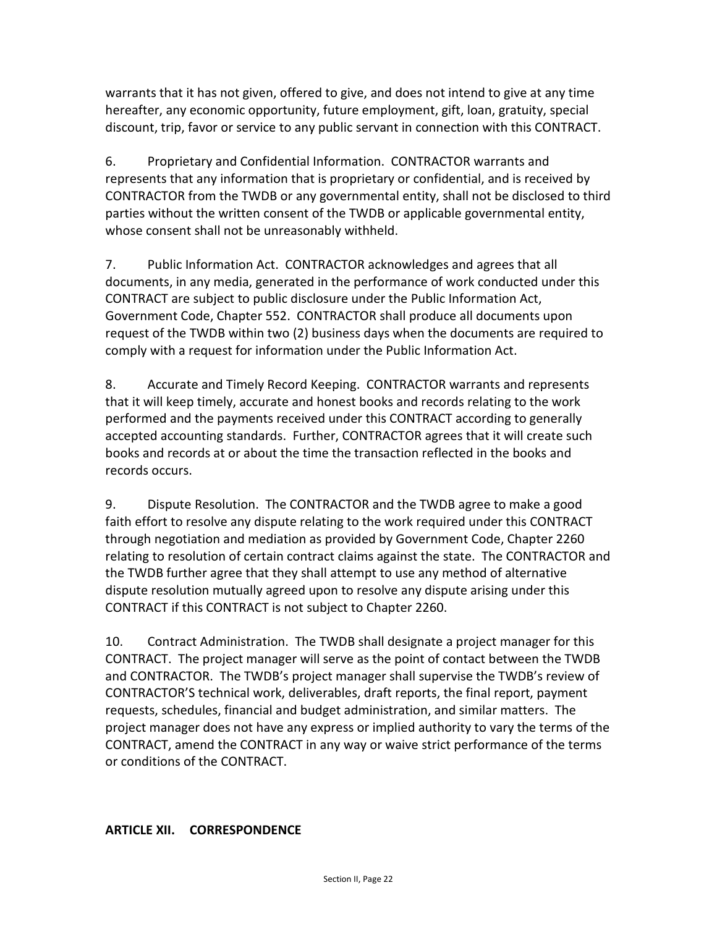warrants that it has not given, offered to give, and does not intend to give at any time hereafter, any economic opportunity, future employment, gift, loan, gratuity, special discount, trip, favor or service to any public servant in connection with this CONTRACT.

6. Proprietary and Confidential Information. CONTRACTOR warrants and represents that any information that is proprietary or confidential, and is received by CONTRACTOR from the TWDB or any governmental entity, shall not be disclosed to third parties without the written consent of the TWDB or applicable governmental entity, whose consent shall not be unreasonably withheld.

7. Public Information Act. CONTRACTOR acknowledges and agrees that all documents, in any media, generated in the performance of work conducted under this CONTRACT are subject to public disclosure under the Public Information Act, Government Code, Chapter 552. CONTRACTOR shall produce all documents upon request of the TWDB within two (2) business days when the documents are required to comply with a request for information under the Public Information Act.

8. Accurate and Timely Record Keeping. CONTRACTOR warrants and represents that it will keep timely, accurate and honest books and records relating to the work performed and the payments received under this CONTRACT according to generally accepted accounting standards. Further, CONTRACTOR agrees that it will create such books and records at or about the time the transaction reflected in the books and records occurs.

9. Dispute Resolution. The CONTRACTOR and the TWDB agree to make a good faith effort to resolve any dispute relating to the work required under this CONTRACT through negotiation and mediation as provided by Government Code, Chapter 2260 relating to resolution of certain contract claims against the state. The CONTRACTOR and the TWDB further agree that they shall attempt to use any method of alternative dispute resolution mutually agreed upon to resolve any dispute arising under this CONTRACT if this CONTRACT is not subject to Chapter 2260.

10. Contract Administration. The TWDB shall designate a project manager for this CONTRACT. The project manager will serve as the point of contact between the TWDB and CONTRACTOR. The TWDB's project manager shall supervise the TWDB's review of CONTRACTOR'S technical work, deliverables, draft reports, the final report, payment requests, schedules, financial and budget administration, and similar matters. The project manager does not have any express or implied authority to vary the terms of the CONTRACT, amend the CONTRACT in any way or waive strict performance of the terms or conditions of the CONTRACT.

# **ARTICLE XII. CORRESPONDENCE**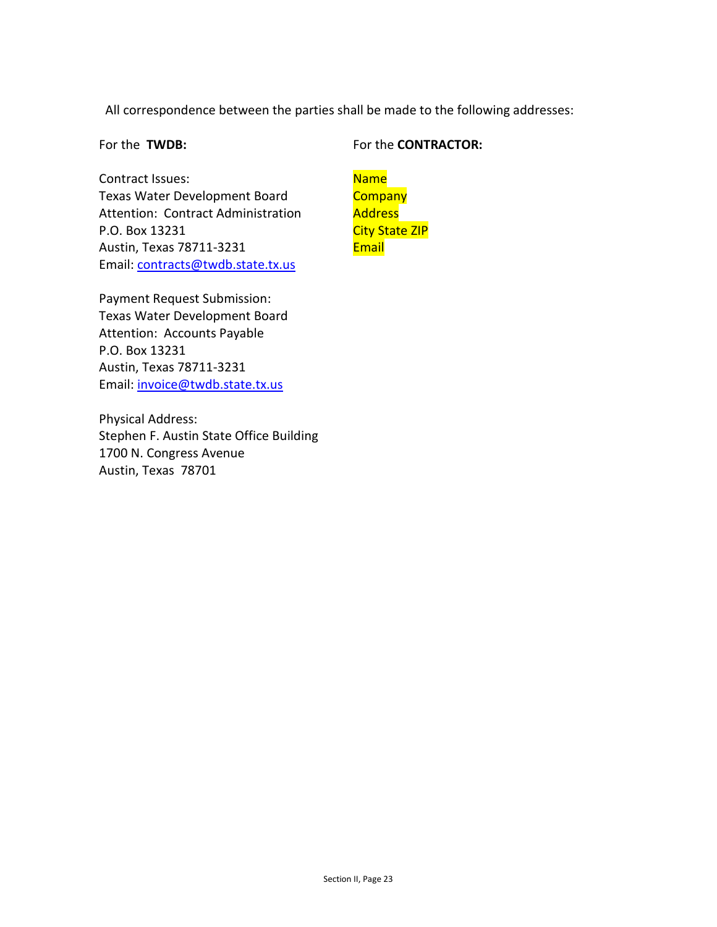All correspondence between the parties shall be made to the following addresses:

#### For the **TWDB:**

Contract Issues: Texas Water Development Board Attention: Contract Administration P.O. Box 13231 Austin, Texas 78711-3231 Email: [contracts@twdb.state.tx.us](mailto:contracts@twdb.state.tx.us)

## For the **CONTRACTOR:**

Name **Company** Address **City State ZIP Email** 

Payment Request Submission: Texas Water Development Board Attention: Accounts Payable P.O. Box 13231 Austin, Texas 78711-3231 Email: [invoice@twdb.state.tx.us](mailto:invoice@twdb.state.tx.us)

Physical Address: Stephen F. Austin State Office Building 1700 N. Congress Avenue Austin, Texas 78701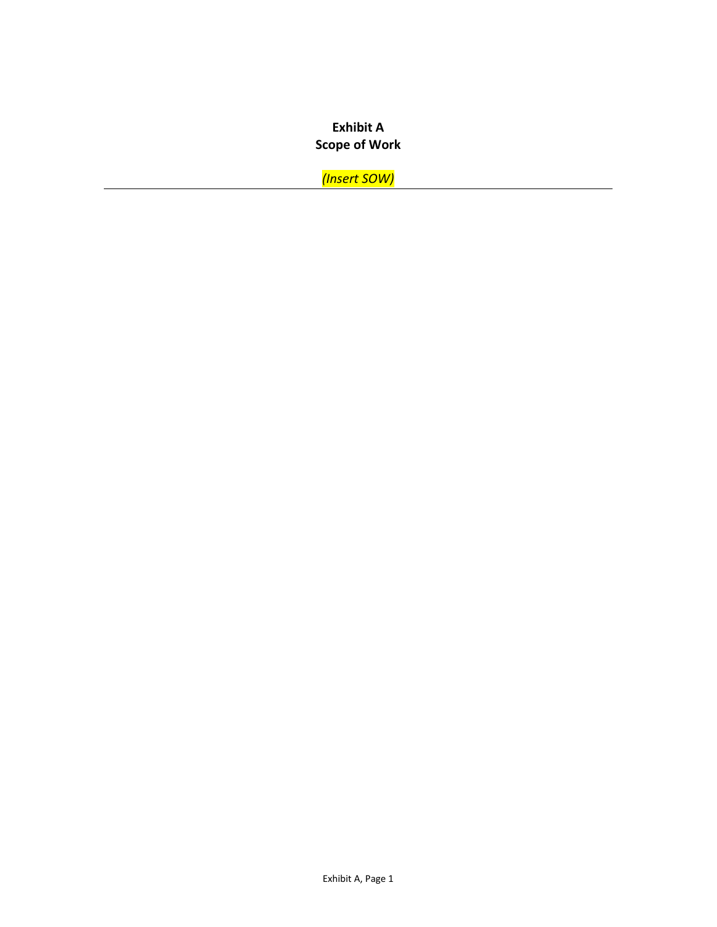# **Exhibit A Scope of Work**

*(Insert SOW)*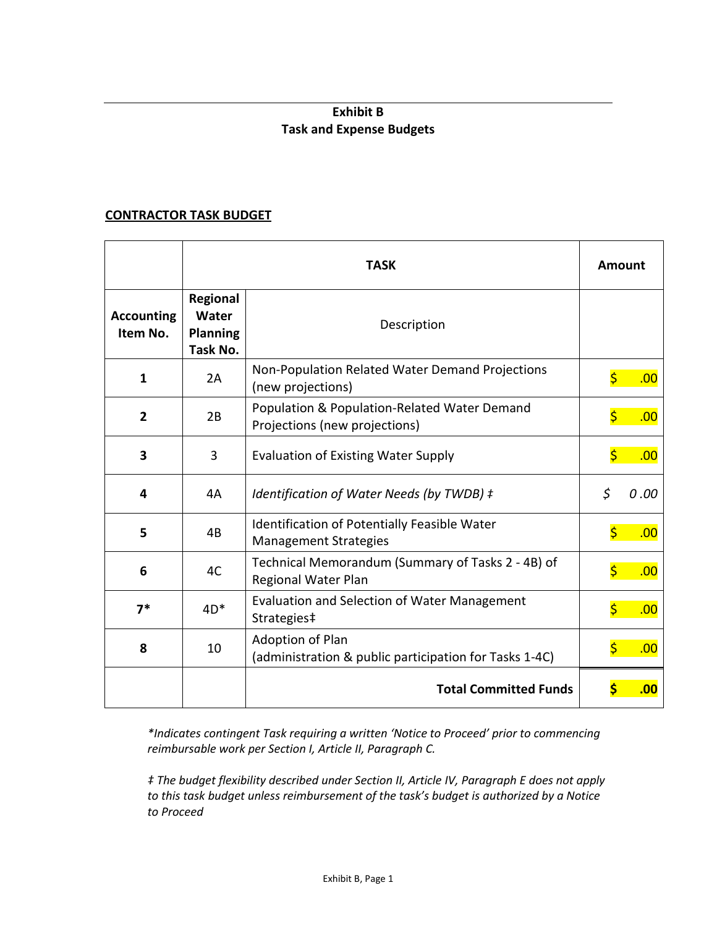# **Exhibit B Task and Expense Budgets**

#### **CONTRACTOR TASK BUDGET**

|                               | <b>TASK</b>                                      |                                                                               | <b>Amount</b>                              |
|-------------------------------|--------------------------------------------------|-------------------------------------------------------------------------------|--------------------------------------------|
| <b>Accounting</b><br>Item No. | Regional<br>Water<br><b>Planning</b><br>Task No. | Description                                                                   |                                            |
| 1                             | 2A                                               | Non-Population Related Water Demand Projections<br>(new projections)          | $\overline{\boldsymbol{\varsigma}}$<br>.00 |
| $\overline{2}$                | 2B                                               | Population & Population-Related Water Demand<br>Projections (new projections) | $\overline{\mathsf{S}}$<br>.00             |
| 3                             | 3                                                | <b>Evaluation of Existing Water Supply</b>                                    | $\overline{\mathsf{S}}$<br>.00             |
| 4                             | 4A                                               | Identification of Water Needs (by TWDB) ‡                                     | \$<br>0.00                                 |
| 5                             | 4B                                               | Identification of Potentially Feasible Water<br><b>Management Strategies</b>  | $\overline{\mathsf{S}}$<br>.00             |
| 6                             | 4C                                               | Technical Memorandum (Summary of Tasks 2 - 4B) of<br>Regional Water Plan      | $\overline{\mathsf{S}}$<br>.00             |
| $7*$                          | $4D*$                                            | <b>Evaluation and Selection of Water Management</b><br>Strategies‡            | $\overline{\mathsf{S}}$<br>.00             |
| 8                             | 10                                               | Adoption of Plan<br>(administration & public participation for Tasks 1-4C)    | $\overline{\mathsf{S}}$<br>.00             |
|                               |                                                  | <b>Total Committed Funds</b>                                                  | \$<br>.00                                  |

*\*Indicates contingent Task requiring a written 'Notice to Proceed' prior to commencing reimbursable work per Section I, Article II, Paragraph C.* 

*‡ The budget flexibility described under Section II, Article IV, Paragraph E does not apply to this task budget unless reimbursement of the task's budget is authorized by a Notice to Proceed*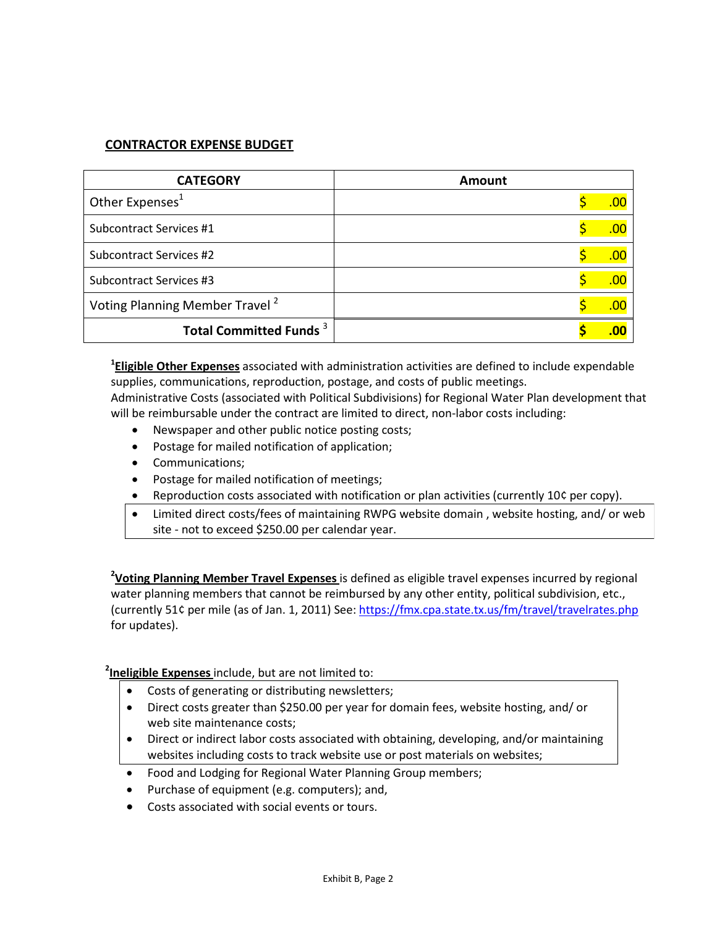## **CONTRACTOR EXPENSE BUDGET**

| <b>CATEGORY</b>                            | Amount |            |
|--------------------------------------------|--------|------------|
| Other Expenses <sup>1</sup>                |        | <u>.oc</u> |
| Subcontract Services #1                    |        | <u>.oc</u> |
| Subcontract Services #2                    |        | <u>.oc</u> |
| Subcontract Services #3                    |        | .00        |
| Voting Planning Member Travel <sup>2</sup> |        | .00        |
| Total Committed Funds <sup>3</sup>         |        | .00        |

**1 Eligible Other Expenses** associated with administration activities are defined to include expendable supplies, communications, reproduction, postage, and costs of public meetings.

Administrative Costs (associated with Political Subdivisions) for Regional Water Plan development that will be reimbursable under the contract are limited to direct, non-labor costs including:

- Newspaper and other public notice posting costs;
- Postage for mailed notification of application;
- Communications;
- Postage for mailed notification of meetings;
- Reproduction costs associated with notification or plan activities (currently 10¢ per copy).
- Limited direct costs/fees of maintaining RWPG website domain , website hosting, and/ or web site - not to exceed \$250.00 per calendar year.

**2 Voting Planning Member Travel Expenses** is defined as eligible travel expenses incurred by regional water planning members that cannot be reimbursed by any other entity, political subdivision, etc., (currently 51¢ per mile (as of Jan. 1, 2011) See[: https://fmx.cpa.state.tx.us/fm/travel/travelrates.php](https://fmx.cpa.state.tx.us/fm/travel/travelrates.php) for updates).

#### **2 Ineligible Expenses** include, but are not limited to:

- Costs of generating or distributing newsletters;
- Direct costs greater than \$250.00 per year for domain fees, website hosting, and/ or web site maintenance costs;
- Direct or indirect labor costs associated with obtaining, developing, and/or maintaining websites including costs to track website use or post materials on websites;
- Food and Lodging for Regional Water Planning Group members;
- Purchase of equipment (e.g. computers); and,
- Costs associated with social events or tours.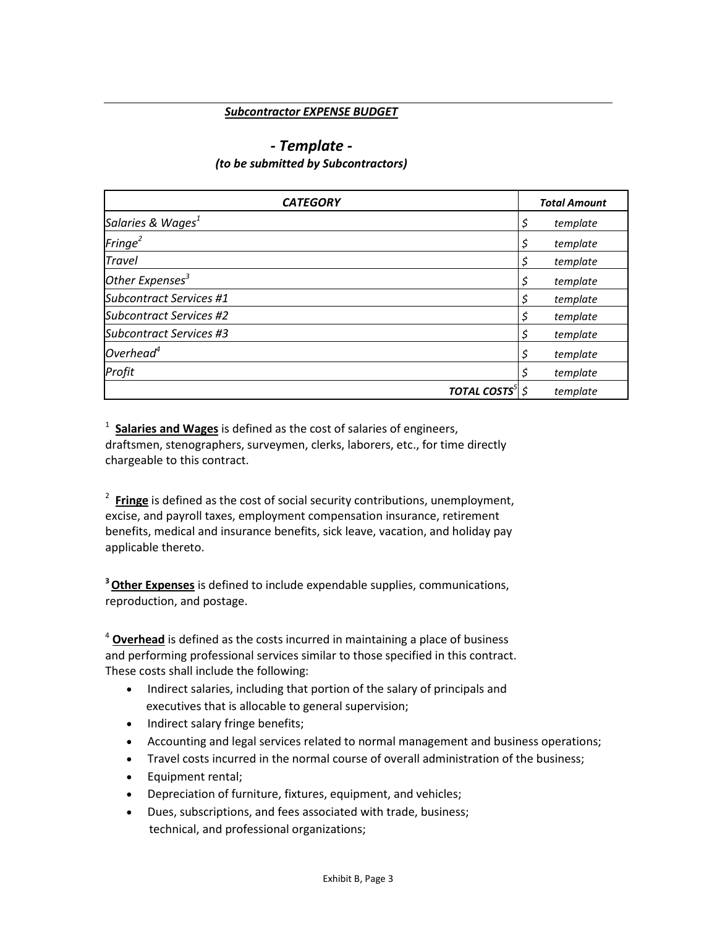#### *Subcontractor EXPENSE BUDGET*

#### *- Template - (to be submitted by Subcontractors)*

| <b>CATEGORY</b>                |                                    | <b>Total Amount</b> |
|--------------------------------|------------------------------------|---------------------|
| Salaries & Wages <sup>1</sup>  |                                    | \$<br>template      |
| $\text{Fringe}^2$              |                                    | \$<br>template      |
| <b>Travel</b>                  |                                    | \$<br>template      |
| Other Expenses <sup>3</sup>    |                                    | \$<br>template      |
| <b>Subcontract Services #1</b> |                                    | \$<br>template      |
| <b>Subcontract Services #2</b> |                                    | \$<br>template      |
| <b>Subcontract Services #3</b> |                                    | \$<br>template      |
| Overhead $4$                   |                                    | \$<br>template      |
| Profit                         |                                    | \$<br>template      |
|                                | <b>TOTAL COSTS</b> <sup>5</sup> \$ | template            |

<sup>1</sup> Salaries and Wages is defined as the cost of salaries of engineers, draftsmen, stenographers, surveymen, clerks, laborers, etc., for time directly chargeable to this contract.

<sup>2</sup> Fringe is defined as the cost of social security contributions, unemployment, excise, and payroll taxes, employment compensation insurance, retirement benefits, medical and insurance benefits, sick leave, vacation, and holiday pay applicable thereto.

**3 Other Expenses** is defined to include expendable supplies, communications, reproduction, and postage.

<sup>4</sup> **Overhead** is defined as the costs incurred in maintaining a place of business and performing professional services similar to those specified in this contract. These costs shall include the following:

- Indirect salaries, including that portion of the salary of principals and executives that is allocable to general supervision;
- Indirect salary fringe benefits;
- Accounting and legal services related to normal management and business operations;
- Travel costs incurred in the normal course of overall administration of the business;
- Equipment rental;
- Depreciation of furniture, fixtures, equipment, and vehicles;
- Dues, subscriptions, and fees associated with trade, business; technical, and professional organizations;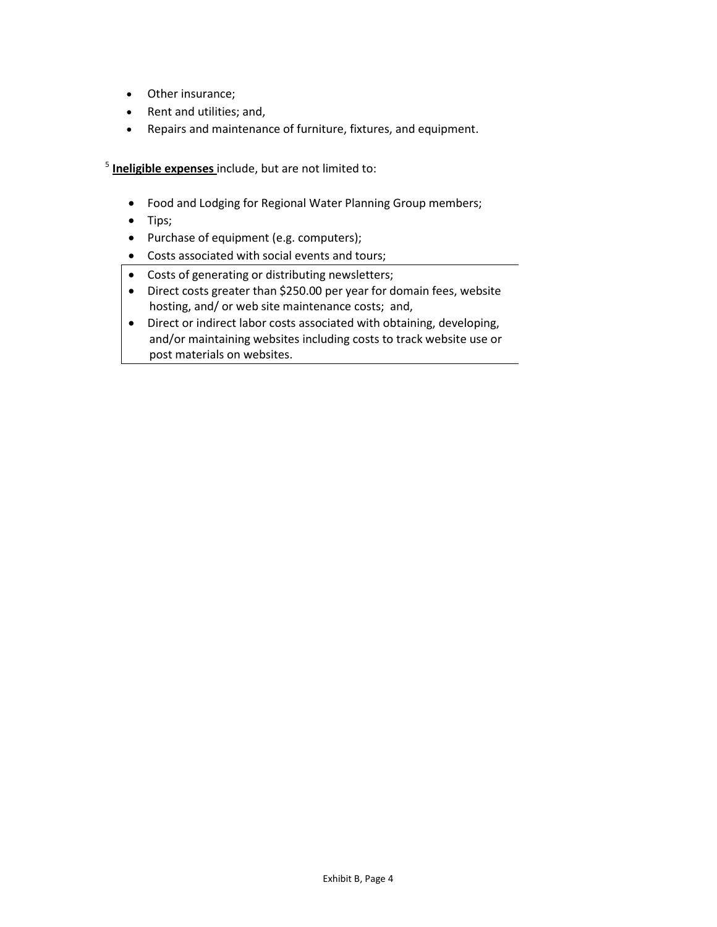- Other insurance;
- Rent and utilities; and,
- Repairs and maintenance of furniture, fixtures, and equipment.

<sup>5</sup> **Ineligible expenses** include, but are not limited to:

- Food and Lodging for Regional Water Planning Group members;
- Tips;
- Purchase of equipment (e.g. computers);
- Costs associated with social events and tours;
- Costs of generating or distributing newsletters;
- Direct costs greater than \$250.00 per year for domain fees, website hosting, and/ or web site maintenance costs; and,
- Direct or indirect labor costs associated with obtaining, developing, and/or maintaining websites including costs to track website use or post materials on websites.